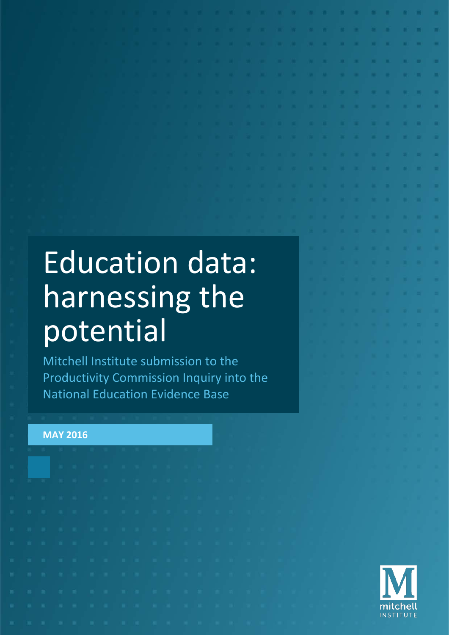# Education data: harnessing the potential

Mitchell Institute submission to the Productivity Commission Inquiry into the National Education Evidence Base

### **MAY 2016**

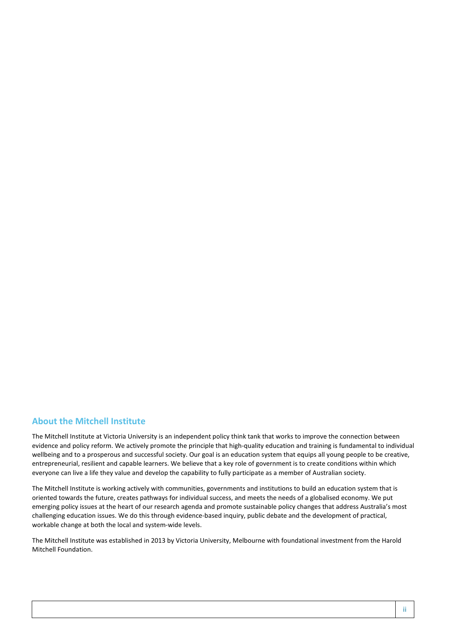#### **About the Mitchell Institute**

The Mitchell Institute at Victoria University is an independent policy think tank that works to improve the connection between evidence and policy reform. We actively promote the principle that high-quality education and training is fundamental to individual wellbeing and to a prosperous and successful society. Our goal is an education system that equips all young people to be creative, entrepreneurial, resilient and capable learners. We believe that a key role of government is to create conditions within which everyone can live a life they value and develop the capability to fully participate as a member of Australian society.

The Mitchell Institute is working actively with communities, governments and institutions to build an education system that is oriented towards the future, creates pathways for individual success, and meets the needs of a globalised economy. We put emerging policy issues at the heart of our research agenda and promote sustainable policy changes that address Australia's most challenging education issues. We do this through evidence-based inquiry, public debate and the development of practical, workable change at both the local and system-wide levels.

The Mitchell Institute was established in 2013 by Victoria University, Melbourne with foundational investment from the Harold Mitchell Foundation.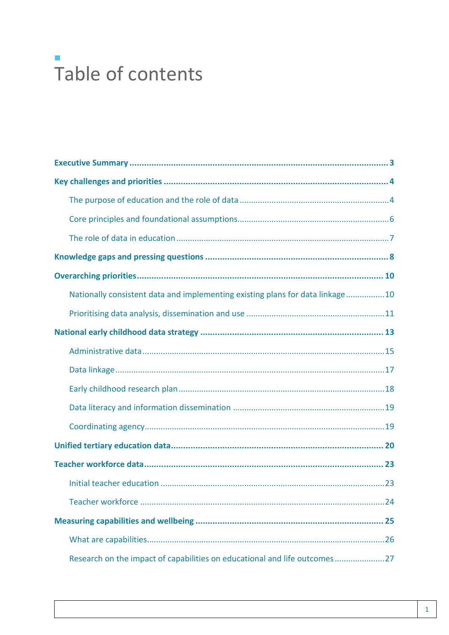# $\mathcal{L}_{\mathcal{A}}$ Table of contents

| Nationally consistent data and implementing existing plans for data linkage10 |  |  |  |  |
|-------------------------------------------------------------------------------|--|--|--|--|
|                                                                               |  |  |  |  |
|                                                                               |  |  |  |  |
|                                                                               |  |  |  |  |
|                                                                               |  |  |  |  |
|                                                                               |  |  |  |  |
|                                                                               |  |  |  |  |
|                                                                               |  |  |  |  |
|                                                                               |  |  |  |  |
|                                                                               |  |  |  |  |
|                                                                               |  |  |  |  |
|                                                                               |  |  |  |  |
|                                                                               |  |  |  |  |
|                                                                               |  |  |  |  |
| Research on the impact of capabilities on educational and life outcomes27     |  |  |  |  |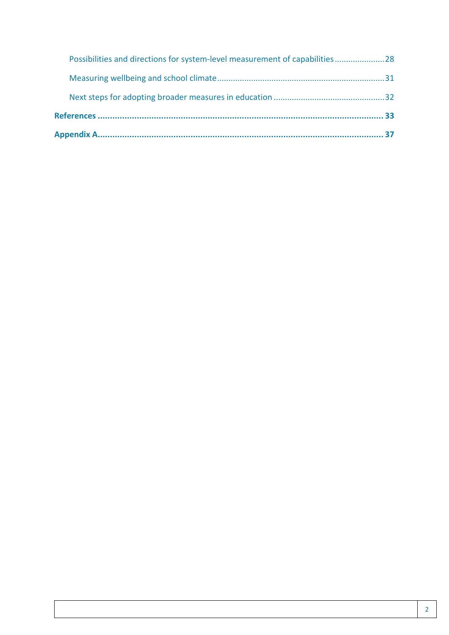|  | Possibilities and directions for system-level measurement of capabilities28 |  |
|--|-----------------------------------------------------------------------------|--|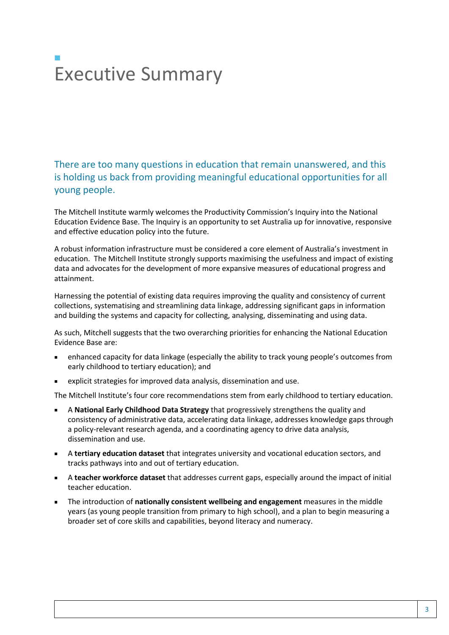# $\mathcal{L}_{\mathcal{A}}$ Executive Summary

There are too many questions in education that remain unanswered, and this is holding us back from providing meaningful educational opportunities for all young people.

The Mitchell Institute warmly welcomes the Productivity Commission's Inquiry into the National Education Evidence Base. The Inquiry is an opportunity to set Australia up for innovative, responsive and effective education policy into the future.

A robust information infrastructure must be considered a core element of Australia's investment in education. The Mitchell Institute strongly supports maximising the usefulness and impact of existing data and advocates for the development of more expansive measures of educational progress and attainment.

Harnessing the potential of existing data requires improving the quality and consistency of current collections, systematising and streamlining data linkage, addressing significant gaps in information and building the systems and capacity for collecting, analysing, disseminating and using data.

As such, Mitchell suggests that the two overarching priorities for enhancing the National Education Evidence Base are:

- enhanced capacity for data linkage (especially the ability to track young people's outcomes from early childhood to tertiary education); and
- explicit strategies for improved data analysis, dissemination and use.

The Mitchell Institute's four core recommendations stem from early childhood to tertiary education.

- A **National Early Childhood Data Strategy** that progressively strengthens the quality and consistency of administrative data, accelerating data linkage, addresses knowledge gaps through a policy-relevant research agenda, and a coordinating agency to drive data analysis, dissemination and use.
- A **tertiary education dataset** that integrates university and vocational education sectors, and tracks pathways into and out of tertiary education.
- A **teacher workforce dataset** that addresses current gaps, especially around the impact of initial teacher education.
- The introduction of **nationally consistent wellbeing and engagement** measures in the middle years (as young people transition from primary to high school), and a plan to begin measuring a broader set of core skills and capabilities, beyond literacy and numeracy.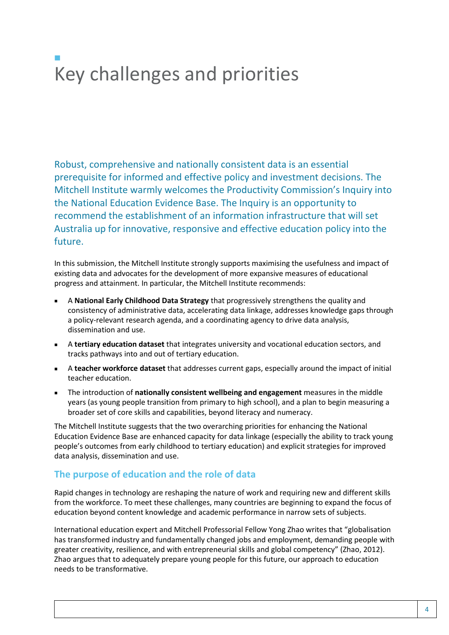# $\mathcal{L}_{\mathcal{A}}$ Key challenges and priorities

Robust, comprehensive and nationally consistent data is an essential prerequisite for informed and effective policy and investment decisions. The Mitchell Institute warmly welcomes the Productivity Commission's Inquiry into the National Education Evidence Base. The Inquiry is an opportunity to recommend the establishment of an information infrastructure that will set Australia up for innovative, responsive and effective education policy into the future.

In this submission, the Mitchell Institute strongly supports maximising the usefulness and impact of existing data and advocates for the development of more expansive measures of educational progress and attainment. In particular, the Mitchell Institute recommends:

- A **National Early Childhood Data Strategy** that progressively strengthens the quality and consistency of administrative data, accelerating data linkage, addresses knowledge gaps through a policy-relevant research agenda, and a coordinating agency to drive data analysis, dissemination and use.
- A **tertiary education dataset** that integrates university and vocational education sectors, and tracks pathways into and out of tertiary education.
- A **teacher workforce dataset** that addresses current gaps, especially around the impact of initial teacher education.
- The introduction of **nationally consistent wellbeing and engagement** measures in the middle years (as young people transition from primary to high school), and a plan to begin measuring a broader set of core skills and capabilities, beyond literacy and numeracy.

The Mitchell Institute suggests that the two overarching priorities for enhancing the National Education Evidence Base are enhanced capacity for data linkage (especially the ability to track young people's outcomes from early childhood to tertiary education) and explicit strategies for improved data analysis, dissemination and use.

### **The purpose of education and the role of data**

Rapid changes in technology are reshaping the nature of work and requiring new and different skills from the workforce. To meet these challenges, many countries are beginning to expand the focus of education beyond content knowledge and academic performance in narrow sets of subjects.

International education expert and Mitchell Professorial Fellow Yong Zhao writes that "globalisation has transformed industry and fundamentally changed jobs and employment, demanding people with greater creativity, resilience, and with entrepreneurial skills and global competency" (Zhao, 2012). Zhao argues that to adequately prepare young people for this future, our approach to education needs to be transformative.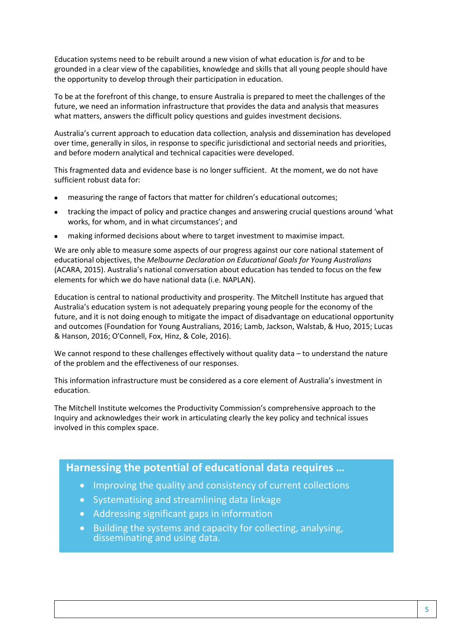Education systems need to be rebuilt around a new vision of what education is *for* and to be grounded in a clear view of the capabilities, knowledge and skills that all young people should have the opportunity to develop through their participation in education.

To be at the forefront of this change, to ensure Australia is prepared to meet the challenges of the future, we need an information infrastructure that provides the data and analysis that measures what matters, answers the difficult policy questions and guides investment decisions.

Australia's current approach to education data collection, analysis and dissemination has developed over time, generally in silos, in response to specific jurisdictional and sectorial needs and priorities, and before modern analytical and technical capacities were developed.

This fragmented data and evidence base is no longer sufficient. At the moment, we do not have sufficient robust data for:

- measuring the range of factors that matter for children's educational outcomes;
- tracking the impact of policy and practice changes and answering crucial questions around 'what works, for whom, and in what circumstances'; and
- making informed decisions about where to target investment to maximise impact.

We are only able to measure some aspects of our progress against our core national statement of educational objectives, the *Melbourne Declaration on Educational Goals for Young Australians* (ACARA, 2015). Australia's national conversation about education has tended to focus on the few elements for which we do have national data (i.e. NAPLAN).

Education is central to national productivity and prosperity. The Mitchell Institute has argued that Australia's education system is not adequately preparing young people for the economy of the future, and it is not doing enough to mitigate the impact of disadvantage on educational opportunity and outcomes (Foundation for Young Australians, 2016; Lamb, Jackson, Walstab, & Huo, 2015; Lucas & Hanson, 2016; O'Connell, Fox, Hinz, & Cole, 2016).

We cannot respond to these challenges effectively without quality data – to understand the nature of the problem and the effectiveness of our responses.

This information infrastructure must be considered as a core element of Australia's investment in education.

The Mitchell Institute welcomes the Productivity Commission's comprehensive approach to the Inquiry and acknowledges their work in articulating clearly the key policy and technical issues involved in this complex space.

# **Harnessing the potential of educational data requires …**

- Improving the quality and consistency of current collections
- Systematising and streamlining data linkage
- Addressing significant gaps in information
- Building the systems and capacity for collecting, analysing, disseminating and using data.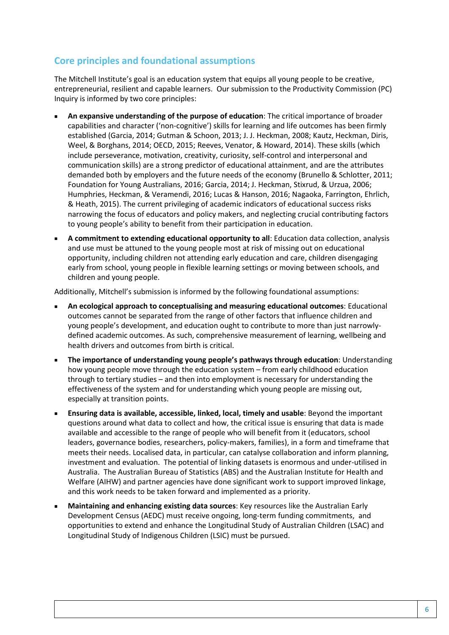# **Core principles and foundational assumptions**

The Mitchell Institute's goal is an education system that equips all young people to be creative, entrepreneurial, resilient and capable learners. Our submission to the Productivity Commission (PC) Inquiry is informed by two core principles:

- **An expansive understanding of the purpose of education**: The critical importance of broader capabilities and character ('non-cognitive') skills for learning and life outcomes has been firmly established (Garcia, 2014; Gutman & Schoon, 2013; J. J. Heckman, 2008; Kautz, Heckman, Diris, Weel, & Borghans, 2014; OECD, 2015; Reeves, Venator, & Howard, 2014). These skills (which include perseverance, motivation, creativity, curiosity, self-control and interpersonal and communication skills) are a strong predictor of educational attainment, and are the attributes demanded both by employers and the future needs of the economy (Brunello & Schlotter, 2011; Foundation for Young Australians, 2016; Garcia, 2014; J. Heckman, Stixrud, & Urzua, 2006; Humphries, Heckman, & Veramendi, 2016; Lucas & Hanson, 2016; Nagaoka, Farrington, Ehrlich, & Heath, 2015). The current privileging of academic indicators of educational success risks narrowing the focus of educators and policy makers, and neglecting crucial contributing factors to young people's ability to benefit from their participation in education.
- **A commitment to extending educational opportunity to all**: Education data collection, analysis and use must be attuned to the young people most at risk of missing out on educational opportunity, including children not attending early education and care, children disengaging early from school, young people in flexible learning settings or moving between schools, and children and young people.

Additionally, Mitchell's submission is informed by the following foundational assumptions:

- **An ecological approach to conceptualising and measuring educational outcomes**: Educational outcomes cannot be separated from the range of other factors that influence children and young people's development, and education ought to contribute to more than just narrowlydefined academic outcomes. As such, comprehensive measurement of learning, wellbeing and health drivers and outcomes from birth is critical.
- **The importance of understanding young people's pathways through education**: Understanding how young people move through the education system – from early childhood education through to tertiary studies – and then into employment is necessary for understanding the effectiveness of the system and for understanding which young people are missing out, especially at transition points.
- **Ensuring data is available, accessible, linked, local, timely and usable**: Beyond the important questions around what data to collect and how, the critical issue is ensuring that data is made available and accessible to the range of people who will benefit from it (educators, school leaders, governance bodies, researchers, policy-makers, families), in a form and timeframe that meets their needs. Localised data, in particular, can catalyse collaboration and inform planning, investment and evaluation. The potential of linking datasets is enormous and under-utilised in Australia. The Australian Bureau of Statistics (ABS) and the Australian Institute for Health and Welfare (AIHW) and partner agencies have done significant work to support improved linkage, and this work needs to be taken forward and implemented as a priority.
- **Maintaining and enhancing existing data sources**: Key resources like the Australian Early Development Census (AEDC) must receive ongoing, long-term funding commitments, and opportunities to extend and enhance the Longitudinal Study of Australian Children (LSAC) and Longitudinal Study of Indigenous Children (LSIC) must be pursued.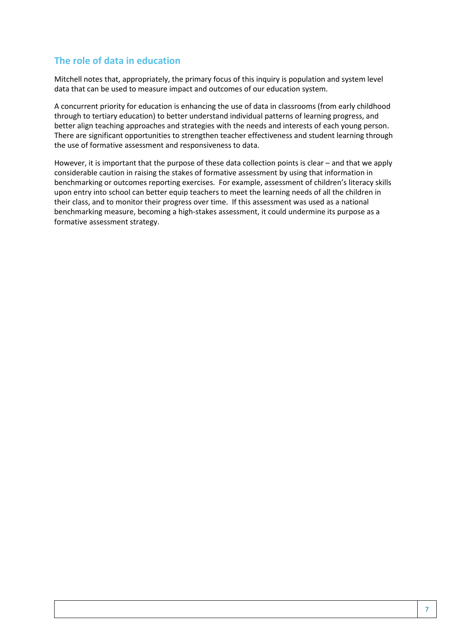### **The role of data in education**

Mitchell notes that, appropriately, the primary focus of this inquiry is population and system level data that can be used to measure impact and outcomes of our education system.

A concurrent priority for education is enhancing the use of data in classrooms (from early childhood through to tertiary education) to better understand individual patterns of learning progress, and better align teaching approaches and strategies with the needs and interests of each young person. There are significant opportunities to strengthen teacher effectiveness and student learning through the use of formative assessment and responsiveness to data.

However, it is important that the purpose of these data collection points is clear – and that we apply considerable caution in raising the stakes of formative assessment by using that information in benchmarking or outcomes reporting exercises. For example, assessment of children's literacy skills upon entry into school can better equip teachers to meet the learning needs of all the children in their class, and to monitor their progress over time. If this assessment was used as a national benchmarking measure, becoming a high-stakes assessment, it could undermine its purpose as a formative assessment strategy.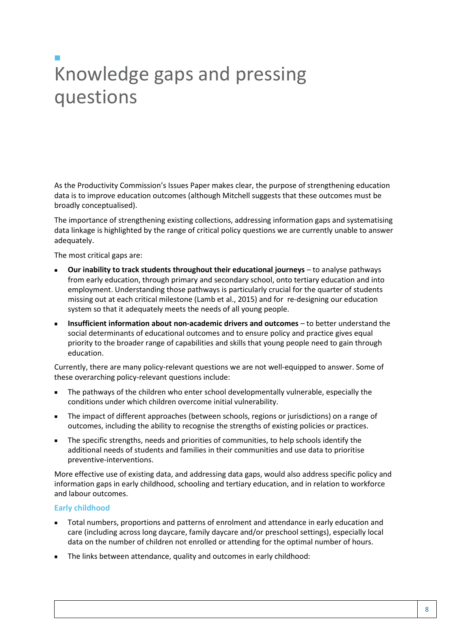# $\mathcal{L}_{\mathcal{A}}$ Knowledge gaps and pressing questions

As the Productivity Commission's Issues Paper makes clear, the purpose of strengthening education data is to improve education outcomes (although Mitchell suggests that these outcomes must be broadly conceptualised).

The importance of strengthening existing collections, addressing information gaps and systematising data linkage is highlighted by the range of critical policy questions we are currently unable to answer adequately.

The most critical gaps are:

- **Our inability to track students throughout their educational journeys** to analyse pathways from early education, through primary and secondary school, onto tertiary education and into employment. Understanding those pathways is particularly crucial for the quarter of students missing out at each critical milestone (Lamb et al., 2015) and for re-designing our education system so that it adequately meets the needs of all young people.
- **Insufficient information about non-academic drivers and outcomes** to better understand the social determinants of educational outcomes and to ensure policy and practice gives equal priority to the broader range of capabilities and skills that young people need to gain through education.

Currently, there are many policy-relevant questions we are not well-equipped to answer. Some of these overarching policy-relevant questions include:

- The pathways of the children who enter school developmentally vulnerable, especially the conditions under which children overcome initial vulnerability.
- The impact of different approaches (between schools, regions or jurisdictions) on a range of outcomes, including the ability to recognise the strengths of existing policies or practices.
- The specific strengths, needs and priorities of communities, to help schools identify the additional needs of students and families in their communities and use data to prioritise preventive-interventions.

More effective use of existing data, and addressing data gaps, would also address specific policy and information gaps in early childhood, schooling and tertiary education, and in relation to workforce and labour outcomes.

#### **Early childhood**

- Total numbers, proportions and patterns of enrolment and attendance in early education and care (including across long daycare, family daycare and/or preschool settings), especially local data on the number of children not enrolled or attending for the optimal number of hours.
- The links between attendance, quality and outcomes in early childhood: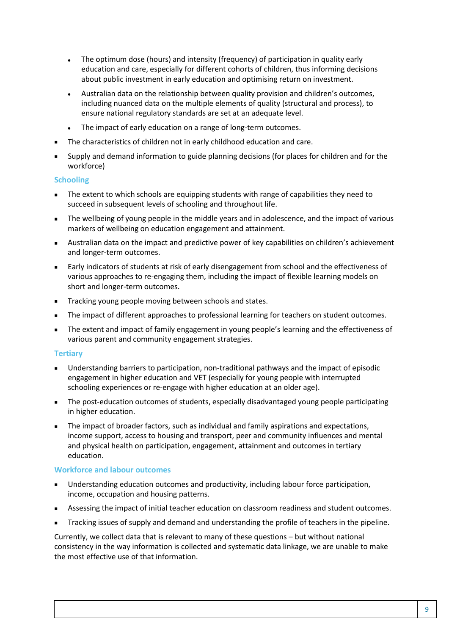- The optimum dose (hours) and intensity (frequency) of participation in quality early education and care, especially for different cohorts of children, thus informing decisions about public investment in early education and optimising return on investment.
- Australian data on the relationship between quality provision and children's outcomes, including nuanced data on the multiple elements of quality (structural and process), to ensure national regulatory standards are set at an adequate level.
- The impact of early education on a range of long-term outcomes.
- The characteristics of children not in early childhood education and care.
- Supply and demand information to guide planning decisions (for places for children and for the workforce)

#### **Schooling**

- The extent to which schools are equipping students with range of capabilities they need to succeed in subsequent levels of schooling and throughout life.
- The wellbeing of young people in the middle years and in adolescence, and the impact of various markers of wellbeing on education engagement and attainment.
- Australian data on the impact and predictive power of key capabilities on children's achievement and longer-term outcomes.
- Early indicators of students at risk of early disengagement from school and the effectiveness of various approaches to re-engaging them, including the impact of flexible learning models on short and longer-term outcomes.
- **Tracking young people moving between schools and states.**
- The impact of different approaches to professional learning for teachers on student outcomes.
- The extent and impact of family engagement in young people's learning and the effectiveness of various parent and community engagement strategies.

#### **Tertiary**

- Understanding barriers to participation, non-traditional pathways and the impact of episodic engagement in higher education and VET (especially for young people with interrupted schooling experiences or re-engage with higher education at an older age).
- The post-education outcomes of students, especially disadvantaged young people participating in higher education.
- The impact of broader factors, such as individual and family aspirations and expectations, income support, access to housing and transport, peer and community influences and mental and physical health on participation, engagement, attainment and outcomes in tertiary education.

#### **Workforce and labour outcomes**

- Understanding education outcomes and productivity, including labour force participation, income, occupation and housing patterns.
- **Assessing the impact of initial teacher education on classroom readiness and student outcomes.**
- Tracking issues of supply and demand and understanding the profile of teachers in the pipeline.

Currently, we collect data that is relevant to many of these questions – but without national consistency in the way information is collected and systematic data linkage, we are unable to make the most effective use of that information.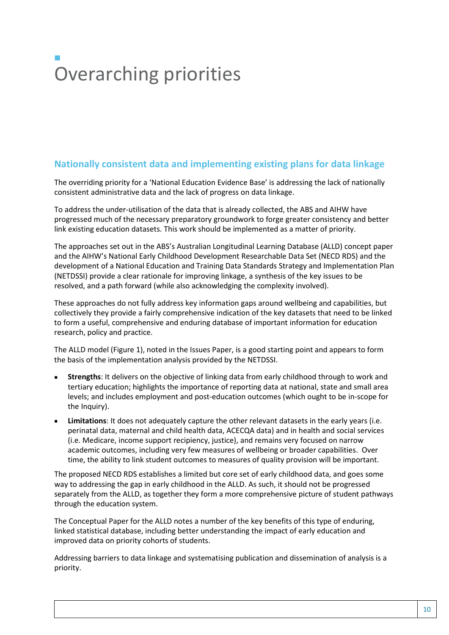# $\mathcal{L}_{\mathcal{A}}$ Overarching priorities

# **Nationally consistent data and implementing existing plans for data linkage**

The overriding priority for a 'National Education Evidence Base' is addressing the lack of nationally consistent administrative data and the lack of progress on data linkage.

To address the under-utilisation of the data that is already collected, the ABS and AIHW have progressed much of the necessary preparatory groundwork to forge greater consistency and better link existing education datasets. This work should be implemented as a matter of priority.

The approaches set out in the ABS's Australian Longitudinal Learning Database (ALLD) concept paper and the AIHW's National Early Childhood Development Researchable Data Set (NECD RDS) and the development of a National Education and Training Data Standards Strategy and Implementation Plan (NETDSSI) provide a clear rationale for improving linkage, a synthesis of the key issues to be resolved, and a path forward (while also acknowledging the complexity involved).

These approaches do not fully address key information gaps around wellbeing and capabilities, but collectively they provide a fairly comprehensive indication of the key datasets that need to be linked to form a useful, comprehensive and enduring database of important information for education research, policy and practice.

The ALLD model (Figure 1), noted in the Issues Paper, is a good starting point and appears to form the basis of the implementation analysis provided by the NETDSSI.

- **Strengths**: It delivers on the objective of linking data from early childhood through to work and tertiary education; highlights the importance of reporting data at national, state and small area levels; and includes employment and post-education outcomes (which ought to be in-scope for the Inquiry).
- **Limitations**: It does not adequately capture the other relevant datasets in the early years (i.e. perinatal data, maternal and child health data, ACECQA data) and in health and social services (i.e. Medicare, income support recipiency, justice), and remains very focused on narrow academic outcomes, including very few measures of wellbeing or broader capabilities. Over time, the ability to link student outcomes to measures of quality provision will be important.

The proposed NECD RDS establishes a limited but core set of early childhood data, and goes some way to addressing the gap in early childhood in the ALLD. As such, it should not be progressed separately from the ALLD, as together they form a more comprehensive picture of student pathways through the education system.

The Conceptual Paper for the ALLD notes a number of the key benefits of this type of enduring, linked statistical database, including better understanding the impact of early education and improved data on priority cohorts of students.

Addressing barriers to data linkage and systematising publication and dissemination of analysis is a priority.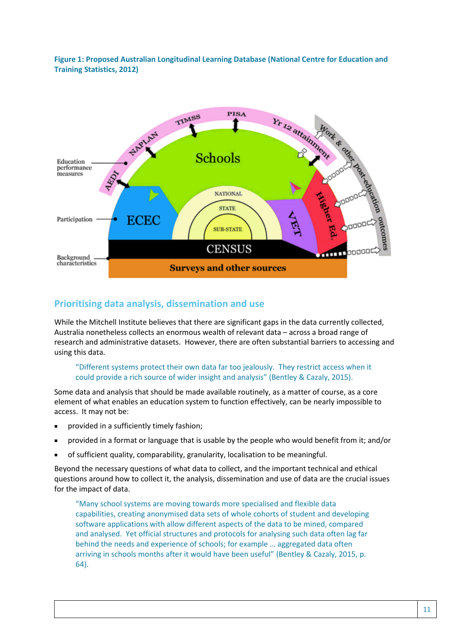**Figure 1: Proposed Australian Longitudinal Learning Database (National Centre for Education and Training Statistics, 2012)**



#### **Prioritising data analysis, dissemination and use**

While the Mitchell Institute believes that there are significant gaps in the data currently collected, Australia nonetheless collects an enormous wealth of relevant data – across a broad range of research and administrative datasets. However, there are often substantial barriers to accessing and using this data.

#### "Different systems protect their own data far too jealously. They restrict access when it could provide a rich source of wider insight and analysis" (Bentley & Cazaly, 2015).

Some data and analysis that should be made available routinely, as a matter of course, as a core element of what enables an education system to function effectively, can be nearly impossible to access. It may not be:

- provided in a sufficiently timely fashion;
- provided in a format or language that is usable by the people who would benefit from it; and/or
- of sufficient quality, comparability, granularity, localisation to be meaningful.

Beyond the necessary questions of what data to collect, and the important technical and ethical questions around how to collect it, the analysis, dissemination and use of data are the crucial issues for the impact of data.

"Many school systems are moving towards more specialised and flexible data capabilities, creating anonymised data sets of whole cohorts of student and developing software applications with allow different aspects of the data to be mined, compared and analysed. Yet official structures and protocols for analysing such data often lag far behind the needs and experience of schools; for example … aggregated data often arriving in schools months after it would have been useful" (Bentley & Cazaly, 2015, p. 64).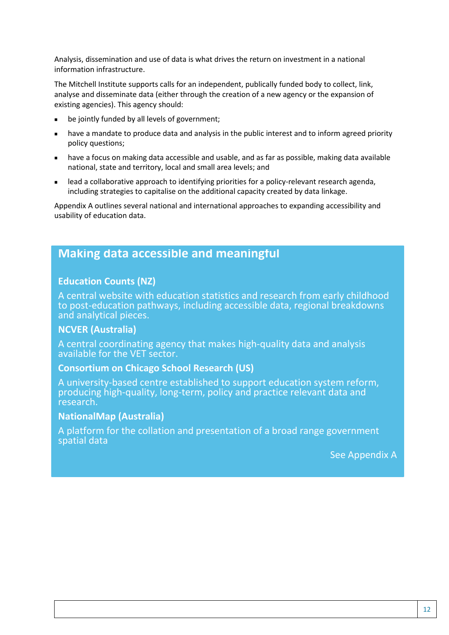Analysis, dissemination and use of data is what drives the return on investment in a national information infrastructure.

The Mitchell Institute supports calls for an independent, publically funded body to collect, link, analyse and disseminate data (either through the creation of a new agency or the expansion of existing agencies). This agency should:

- be jointly funded by all levels of government;
- have a mandate to produce data and analysis in the public interest and to inform agreed priority policy questions;
- have a focus on making data accessible and usable, and as far as possible, making data available national, state and territory, local and small area levels; and
- lead a collaborative approach to identifying priorities for a policy-relevant research agenda, including strategies to capitalise on the additional capacity created by data linkage.

Appendix A outlines several national and international approaches to expanding accessibility and usability of education data.

# **Making data accessible and meaningful**

#### **Education Counts (NZ)**

A central website with education statistics and research from early childhood to post-education pathways, including accessible data, regional breakdowns and analytical pieces.

#### **NCVER (Australia)**

A central coordinating agency that makes high-quality data and analysis available for the VET sector.

#### **Consortium on Chicago School Research (US)**

A university-based centre established to support education system reform, producing high-quality, long-term, policy and practice relevant data and research.

#### **NationalMap (Australia)**

A platform for the collation and presentation of a broad range government spatial data

See Appendix A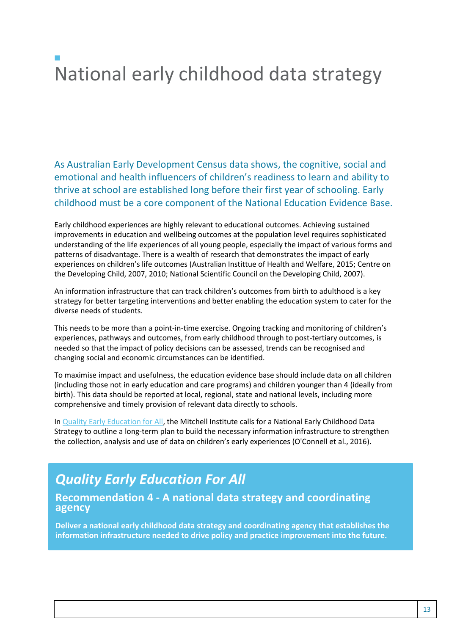# $\mathcal{L}_{\mathcal{A}}$ National early childhood data strategy

As Australian Early Development Census data shows, the cognitive, social and emotional and health influencers of children's readiness to learn and ability to thrive at school are established long before their first year of schooling. Early childhood must be a core component of the National Education Evidence Base.

Early childhood experiences are highly relevant to educational outcomes. Achieving sustained improvements in education and wellbeing outcomes at the population level requires sophisticated understanding of the life experiences of all young people, especially the impact of various forms and patterns of disadvantage. There is a wealth of research that demonstrates the impact of early experiences on children's life outcomes (Australian Instittue of Health and Welfare, 2015; Centre on the Developing Child, 2007, 2010; National Scientific Council on the Developing Child, 2007).

An information infrastructure that can track children's outcomes from birth to adulthood is a key strategy for better targeting interventions and better enabling the education system to cater for the diverse needs of students.

This needs to be more than a point-in-time exercise. Ongoing tracking and monitoring of children's experiences, pathways and outcomes, from early childhood through to post-tertiary outcomes, is needed so that the impact of policy decisions can be assessed, trends can be recognised and changing social and economic circumstances can be identified.

To maximise impact and usefulness, the education evidence base should include data on all children (including those not in early education and care programs) and children younger than 4 (ideally from birth). This data should be reported at local, regional, state and national levels, including more comprehensive and timely provision of relevant data directly to schools.

In [Quality Early Education for All,](http://www.mitchellinstitute.org.au/wp-content/uploads/2016/04/Quality-Early-Education-for-All-FINAL.pdf) the Mitchell Institute calls for a National Early Childhood Data Strategy to outline a long-term plan to build the necessary information infrastructure to strengthen the collection, analysis and use of data on children's early experiences (O'Connell et al., 2016).

# *Quality Early Education For All*

### **Recommendation 4 - A national data strategy and coordinating agency**

**Deliver a national early childhood data strategy and coordinating agency that establishes the information infrastructure needed to drive policy and practice improvement into the future.**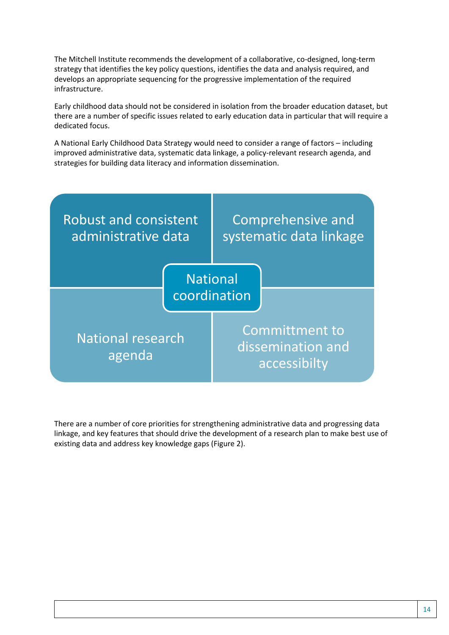The Mitchell Institute recommends the development of a collaborative, co-designed, long-term strategy that identifies the key policy questions, identifies the data and analysis required, and develops an appropriate sequencing for the progressive implementation of the required infrastructure.

Early childhood data should not be considered in isolation from the broader education dataset, but there are a number of specific issues related to early education data in particular that will require a dedicated focus.

A National Early Childhood Data Strategy would need to consider a range of factors – including improved administrative data, systematic data linkage, a policy-relevant research agenda, and strategies for building data literacy and information dissemination.



There are a number of core priorities for strengthening administrative data and progressing data linkage, and key features that should drive the development of a research plan to make best use of existing data and address key knowledge gaps (Figure 2).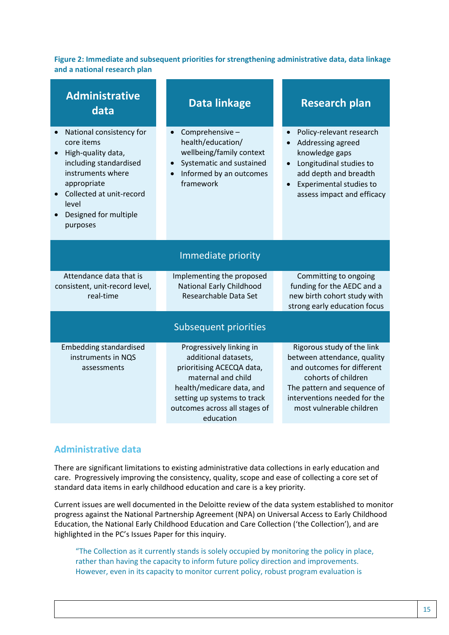**Figure 2: Immediate and subsequent priorities for strengthening administrative data, data linkage and a national research plan**

| <b>Administrative</b><br>data                                                                                                                                                                        | Data linkage                                                                                                                                                                                                  | <b>Research plan</b>                                                                                                                                                                                      |  |  |  |  |
|------------------------------------------------------------------------------------------------------------------------------------------------------------------------------------------------------|---------------------------------------------------------------------------------------------------------------------------------------------------------------------------------------------------------------|-----------------------------------------------------------------------------------------------------------------------------------------------------------------------------------------------------------|--|--|--|--|
| National consistency for<br>core items<br>High-quality data,<br>including standardised<br>instruments where<br>appropriate<br>Collected at unit-record<br>level<br>Designed for multiple<br>purposes | Comprehensive-<br>health/education/<br>wellbeing/family context<br>Systematic and sustained<br>Informed by an outcomes<br>framework                                                                           | Policy-relevant research<br>Addressing agreed<br>knowledge gaps<br>Longitudinal studies to<br>$\bullet$<br>add depth and breadth<br>Experimental studies to<br>$\bullet$<br>assess impact and efficacy    |  |  |  |  |
| Immediate priority                                                                                                                                                                                   |                                                                                                                                                                                                               |                                                                                                                                                                                                           |  |  |  |  |
| Attendance data that is<br>consistent, unit-record level,<br>real-time                                                                                                                               | Implementing the proposed<br>National Early Childhood<br>Researchable Data Set                                                                                                                                | Committing to ongoing<br>funding for the AEDC and a<br>new birth cohort study with<br>strong early education focus                                                                                        |  |  |  |  |
| <b>Subsequent priorities</b>                                                                                                                                                                         |                                                                                                                                                                                                               |                                                                                                                                                                                                           |  |  |  |  |
| <b>Embedding standardised</b><br>instruments in NQS<br>assessments                                                                                                                                   | Progressively linking in<br>additional datasets,<br>prioritising ACECQA data,<br>maternal and child<br>health/medicare data, and<br>setting up systems to track<br>outcomes across all stages of<br>education | Rigorous study of the link<br>between attendance, quality<br>and outcomes for different<br>cohorts of children<br>The pattern and sequence of<br>interventions needed for the<br>most vulnerable children |  |  |  |  |

### **Administrative data**

There are significant limitations to existing administrative data collections in early education and care. Progressively improving the consistency, quality, scope and ease of collecting a core set of standard data items in early childhood education and care is a key priority.

Current issues are well documented in the Deloitte review of the data system established to monitor progress against the National Partnership Agreement (NPA) on Universal Access to Early Childhood Education, the National Early Childhood Education and Care Collection ('the Collection'), and are highlighted in the PC's Issues Paper for this inquiry.

"The Collection as it currently stands is solely occupied by monitoring the policy in place, rather than having the capacity to inform future policy direction and improvements. However, even in its capacity to monitor current policy, robust program evaluation is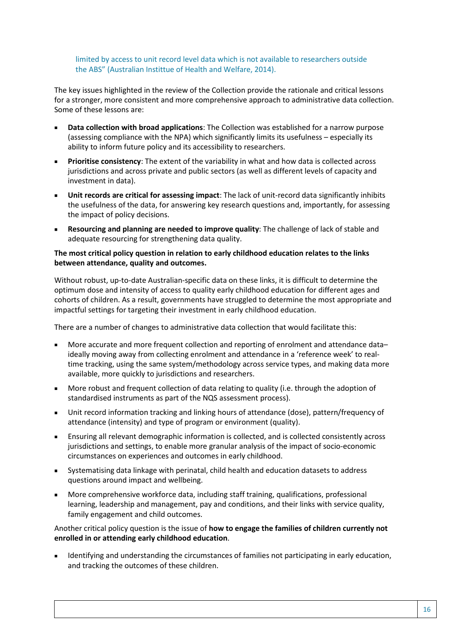limited by access to unit record level data which is not available to researchers outside the ABS" (Australian Instittue of Health and Welfare, 2014).

The key issues highlighted in the review of the Collection provide the rationale and critical lessons for a stronger, more consistent and more comprehensive approach to administrative data collection. Some of these lessons are:

- **Data collection with broad applications**: The Collection was established for a narrow purpose (assessing compliance with the NPA) which significantly limits its usefulness – especially its ability to inform future policy and its accessibility to researchers.
- **Prioritise consistency**: The extent of the variability in what and how data is collected across jurisdictions and across private and public sectors (as well as different levels of capacity and investment in data).
- **Unit records are critical for assessing impact**: The lack of unit-record data significantly inhibits the usefulness of the data, for answering key research questions and, importantly, for assessing the impact of policy decisions.
- **Resourcing and planning are needed to improve quality**: The challenge of lack of stable and adequate resourcing for strengthening data quality.

#### **The most critical policy question in relation to early childhood education relates to the links between attendance, quality and outcomes.**

Without robust, up-to-date Australian-specific data on these links, it is difficult to determine the optimum dose and intensity of access to quality early childhood education for different ages and cohorts of children. As a result, governments have struggled to determine the most appropriate and impactful settings for targeting their investment in early childhood education.

There are a number of changes to administrative data collection that would facilitate this:

- More accurate and more frequent collection and reporting of enrolment and attendance data– ideally moving away from collecting enrolment and attendance in a 'reference week' to realtime tracking, using the same system/methodology across service types, and making data more available, more quickly to jurisdictions and researchers.
- More robust and frequent collection of data relating to quality (i.e. through the adoption of standardised instruments as part of the NQS assessment process).
- Unit record information tracking and linking hours of attendance (dose), pattern/frequency of attendance (intensity) and type of program or environment (quality).
- Ensuring all relevant demographic information is collected, and is collected consistently across jurisdictions and settings, to enable more granular analysis of the impact of socio-economic circumstances on experiences and outcomes in early childhood.
- Systematising data linkage with perinatal, child health and education datasets to address questions around impact and wellbeing.
- More comprehensive workforce data, including staff training, qualifications, professional learning, leadership and management, pay and conditions, and their links with service quality, family engagement and child outcomes.

#### Another critical policy question is the issue of **how to engage the families of children currently not enrolled in or attending early childhood education**.

 Identifying and understanding the circumstances of families not participating in early education, and tracking the outcomes of these children.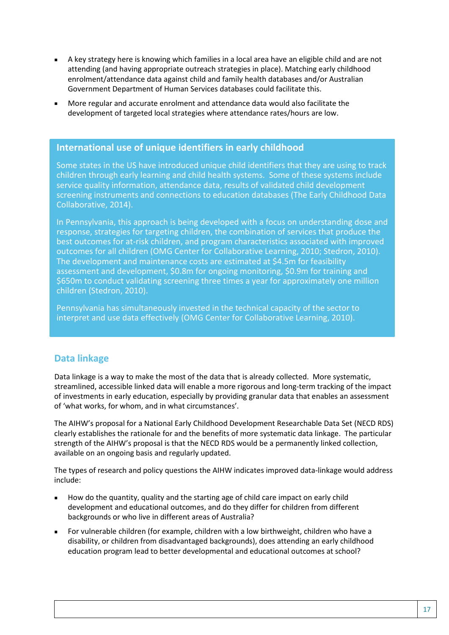- A key strategy here is knowing which families in a local area have an eligible child and are not attending (and having appropriate outreach strategies in place). Matching early childhood enrolment/attendance data against child and family health databases and/or Australian Government Department of Human Services databases could facilitate this.
- More regular and accurate enrolment and attendance data would also facilitate the development of targeted local strategies where attendance rates/hours are low.

#### **International use of unique identifiers in early childhood**

Some states in the US have introduced unique child identifiers that they are using to track children through early learning and child health systems. Some of these systems include service quality information, attendance data, results of validated child development screening instruments and connections to education databases (The Early Childhood Data Collaborative, 2014).

In Pennsylvania, this approach is being developed with a focus on understanding dose and response, strategies for targeting children, the combination of services that produce the best outcomes for at-risk children, and program characteristics associated with improved outcomes for all children (OMG Center for Collaborative Learning, 2010; Stedron, 2010). The development and maintenance costs are estimated at \$4.5m for feasibility assessment and development, \$0.8m for ongoing monitoring, \$0.9m for training and \$650m to conduct validating screening three times a year for approximately one million children (Stedron, 2010).

Pennsylvania has simultaneously invested in the technical capacity of the sector to interpret and use data effectively (OMG Center for Collaborative Learning, 2010).

### **Data linkage**

Data linkage is a way to make the most of the data that is already collected. More systematic, streamlined, accessible linked data will enable a more rigorous and long-term tracking of the impact of investments in early education, especially by providing granular data that enables an assessment of 'what works, for whom, and in what circumstances'.

The AIHW's proposal for a National Early Childhood Development Researchable Data Set (NECD RDS) clearly establishes the rationale for and the benefits of more systematic data linkage. The particular strength of the AIHW's proposal is that the NECD RDS would be a permanently linked collection, available on an ongoing basis and regularly updated.

The types of research and policy questions the AIHW indicates improved data-linkage would address include:

- How do the quantity, quality and the starting age of child care impact on early child development and educational outcomes, and do they differ for children from different backgrounds or who live in different areas of Australia?
- For vulnerable children (for example, children with a low birthweight, children who have a disability, or children from disadvantaged backgrounds), does attending an early childhood education program lead to better developmental and educational outcomes at school?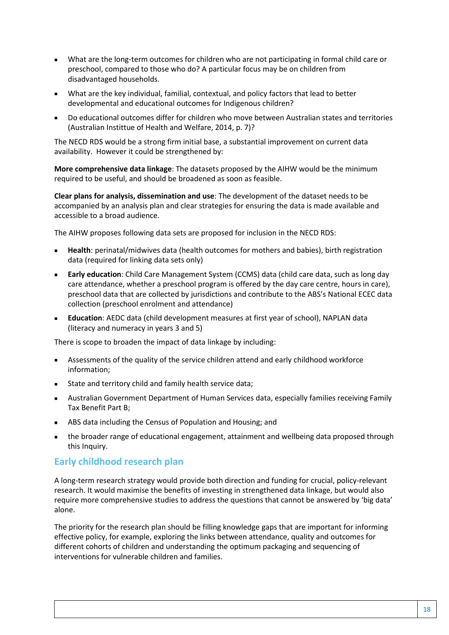- What are the long-term outcomes for children who are not participating in formal child care or preschool, compared to those who do? A particular focus may be on children from disadvantaged households.
- What are the key individual, familial, contextual, and policy factors that lead to better developmental and educational outcomes for Indigenous children?
- Do educational outcomes differ for children who move between Australian states and territories (Australian Instittue of Health and Welfare, 2014, p. 7)?

The NECD RDS would be a strong firm initial base, a substantial improvement on current data availability. However it could be strengthened by:

**More comprehensive data linkage**: The datasets proposed by the AIHW would be the minimum required to be useful, and should be broadened as soon as feasible.

**Clear plans for analysis, dissemination and use**: The development of the dataset needs to be accompanied by an analysis plan and clear strategies for ensuring the data is made available and accessible to a broad audience.

The AIHW proposes following data sets are proposed for inclusion in the NECD RDS:

- **Health**: perinatal/midwives data (health outcomes for mothers and babies), birth registration data (required for linking data sets only)
- **Early education**: Child Care Management System (CCMS) data (child care data, such as long day care attendance, whether a preschool program is offered by the day care centre, hours in care), preschool data that are collected by jurisdictions and contribute to the ABS's National ECEC data collection (preschool enrolment and attendance)
- **Education**: AEDC data (child development measures at first year of school), NAPLAN data (literacy and numeracy in years 3 and 5)

There is scope to broaden the impact of data linkage by including:

- Assessments of the quality of the service children attend and early childhood workforce information;
- State and territory child and family health service data;
- Australian Government Department of Human Services data, especially families receiving Family Tax Benefit Part B;
- ABS data including the Census of Population and Housing; and
- the broader range of educational engagement, attainment and wellbeing data proposed through this Inquiry.

#### **Early childhood research plan**

A long-term research strategy would provide both direction and funding for crucial, policy-relevant research. It would maximise the benefits of investing in strengthened data linkage, but would also require more comprehensive studies to address the questions that cannot be answered by 'big data' alone.

The priority for the research plan should be filling knowledge gaps that are important for informing effective policy, for example, exploring the links between attendance, quality and outcomes for different cohorts of children and understanding the optimum packaging and sequencing of interventions for vulnerable children and families.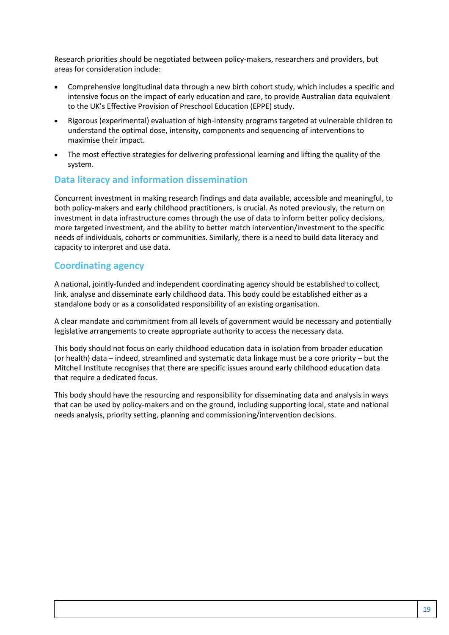Research priorities should be negotiated between policy-makers, researchers and providers, but areas for consideration include:

- Comprehensive longitudinal data through a new birth cohort study, which includes a specific and intensive focus on the impact of early education and care, to provide Australian data equivalent to the UK's Effective Provision of Preschool Education (EPPE) study.
- Rigorous (experimental) evaluation of high-intensity programs targeted at vulnerable children to understand the optimal dose, intensity, components and sequencing of interventions to maximise their impact.
- The most effective strategies for delivering professional learning and lifting the quality of the system.

#### **Data literacy and information dissemination**

Concurrent investment in making research findings and data available, accessible and meaningful, to both policy-makers and early childhood practitioners, is crucial. As noted previously, the return on investment in data infrastructure comes through the use of data to inform better policy decisions, more targeted investment, and the ability to better match intervention/investment to the specific needs of individuals, cohorts or communities. Similarly, there is a need to build data literacy and capacity to interpret and use data.

#### **Coordinating agency**

A national, jointly-funded and independent coordinating agency should be established to collect, link, analyse and disseminate early childhood data. This body could be established either as a standalone body or as a consolidated responsibility of an existing organisation.

A clear mandate and commitment from all levels of government would be necessary and potentially legislative arrangements to create appropriate authority to access the necessary data.

This body should not focus on early childhood education data in isolation from broader education (or health) data – indeed, streamlined and systematic data linkage must be a core priority – but the Mitchell Institute recognises that there are specific issues around early childhood education data that require a dedicated focus.

This body should have the resourcing and responsibility for disseminating data and analysis in ways that can be used by policy-makers and on the ground, including supporting local, state and national needs analysis, priority setting, planning and commissioning/intervention decisions.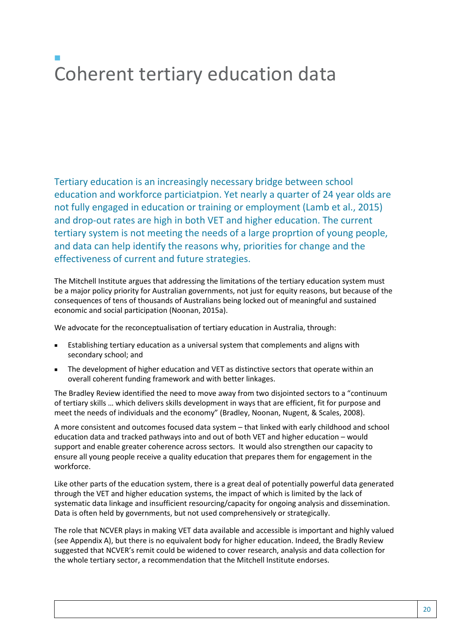# $\mathcal{L}_{\mathcal{A}}$ Coherent tertiary education data

Tertiary education is an increasingly necessary bridge between school education and workforce particiatpion. Yet nearly a quarter of 24 year olds are not fully engaged in education or training or employment (Lamb et al., 2015) and drop-out rates are high in both VET and higher education. The current tertiary system is not meeting the needs of a large proprtion of young people, and data can help identify the reasons why, priorities for change and the effectiveness of current and future strategies.

The Mitchell Institute argues that addressing the limitations of the tertiary education system must be a major policy priority for Australian governments, not just for equity reasons, but because of the consequences of tens of thousands of Australians being locked out of meaningful and sustained economic and social participation (Noonan, 2015a).

We advocate for the reconceptualisation of tertiary education in Australia, through:

- Establishing tertiary education as a universal system that complements and aligns with secondary school; and
- The development of higher education and VET as distinctive sectors that operate within an overall coherent funding framework and with better linkages.

The Bradley Review identified the need to move away from two disjointed sectors to a "continuum of tertiary skills … which delivers skills development in ways that are efficient, fit for purpose and meet the needs of individuals and the economy" (Bradley, Noonan, Nugent, & Scales, 2008).

A more consistent and outcomes focused data system – that linked with early childhood and school education data and tracked pathways into and out of both VET and higher education – would support and enable greater coherence across sectors. It would also strengthen our capacity to ensure all young people receive a quality education that prepares them for engagement in the workforce.

Like other parts of the education system, there is a great deal of potentially powerful data generated through the VET and higher education systems, the impact of which is limited by the lack of systematic data linkage and insufficient resourcing/capacity for ongoing analysis and dissemination. Data is often held by governments, but not used comprehensively or strategically.

The role that NCVER plays in making VET data available and accessible is important and highly valued (see Appendix A), but there is no equivalent body for higher education. Indeed, the Bradly Review suggested that NCVER's remit could be widened to cover research, analysis and data collection for the whole tertiary sector, a recommendation that the Mitchell Institute endorses.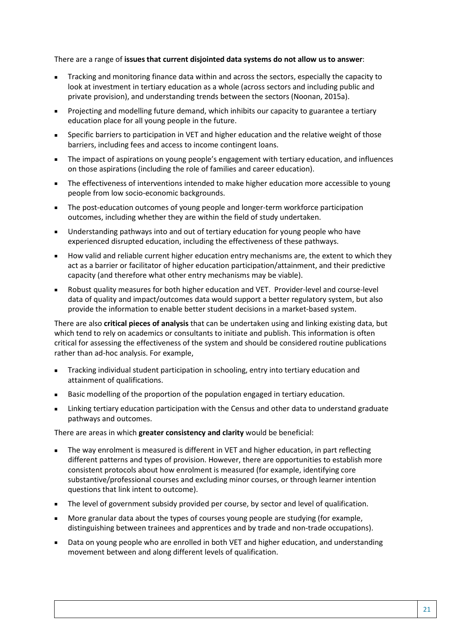There are a range of **issues that current disjointed data systems do not allow us to answer**:

- Tracking and monitoring finance data within and across the sectors, especially the capacity to look at investment in tertiary education as a whole (across sectors and including public and private provision), and understanding trends between the sectors (Noonan, 2015a).
- Projecting and modelling future demand, which inhibits our capacity to guarantee a tertiary education place for all young people in the future.
- Specific barriers to participation in VET and higher education and the relative weight of those barriers, including fees and access to income contingent loans.
- The impact of aspirations on young people's engagement with tertiary education, and influences on those aspirations (including the role of families and career education).
- **The effectiveness of interventions intended to make higher education more accessible to young** people from low socio-economic backgrounds.
- The post-education outcomes of young people and longer-term workforce participation outcomes, including whether they are within the field of study undertaken.
- Understanding pathways into and out of tertiary education for young people who have experienced disrupted education, including the effectiveness of these pathways.
- How valid and reliable current higher education entry mechanisms are, the extent to which they act as a barrier or facilitator of higher education participation/attainment, and their predictive capacity (and therefore what other entry mechanisms may be viable).
- Robust quality measures for both higher education and VET. Provider-level and course-level data of quality and impact/outcomes data would support a better regulatory system, but also provide the information to enable better student decisions in a market-based system.

There are also **critical pieces of analysis** that can be undertaken using and linking existing data, but which tend to rely on academics or consultants to initiate and publish. This information is often critical for assessing the effectiveness of the system and should be considered routine publications rather than ad-hoc analysis. For example,

- Tracking individual student participation in schooling, entry into tertiary education and attainment of qualifications.
- **Basic modelling of the proportion of the population engaged in tertiary education.**
- Linking tertiary education participation with the Census and other data to understand graduate pathways and outcomes.

There are areas in which **greater consistency and clarity** would be beneficial:

- The way enrolment is measured is different in VET and higher education, in part reflecting different patterns and types of provision. However, there are opportunities to establish more consistent protocols about how enrolment is measured (for example, identifying core substantive/professional courses and excluding minor courses, or through learner intention questions that link intent to outcome).
- The level of government subsidy provided per course, by sector and level of qualification.
- More granular data about the types of courses young people are studying (for example, distinguishing between trainees and apprentices and by trade and non-trade occupations).
- Data on young people who are enrolled in both VET and higher education, and understanding movement between and along different levels of qualification.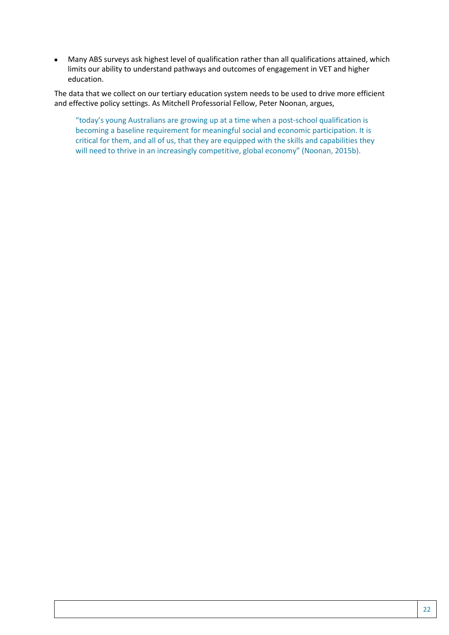Many ABS surveys ask highest level of qualification rather than all qualifications attained, which limits our ability to understand pathways and outcomes of engagement in VET and higher education.

The data that we collect on our tertiary education system needs to be used to drive more efficient and effective policy settings. As Mitchell Professorial Fellow, Peter Noonan, argues,

"today's young Australians are growing up at a time when a post-school qualification is becoming a baseline requirement for meaningful social and economic participation. It is critical for them, and all of us, that they are equipped with the skills and capabilities they will need to thrive in an increasingly competitive, global economy" (Noonan, 2015b).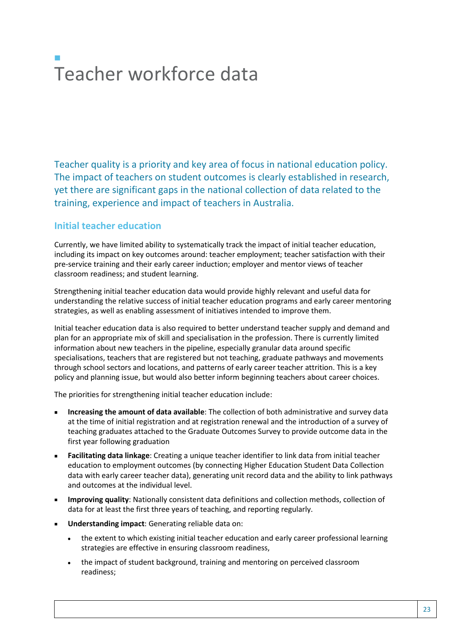# $\mathcal{L}_{\mathcal{A}}$ Teacher workforce data

Teacher quality is a priority and key area of focus in national education policy. The impact of teachers on student outcomes is clearly established in research, yet there are significant gaps in the national collection of data related to the training, experience and impact of teachers in Australia.

### **Initial teacher education**

Currently, we have limited ability to systematically track the impact of initial teacher education, including its impact on key outcomes around: teacher employment; teacher satisfaction with their pre-service training and their early career induction; employer and mentor views of teacher classroom readiness; and student learning.

Strengthening initial teacher education data would provide highly relevant and useful data for understanding the relative success of initial teacher education programs and early career mentoring strategies, as well as enabling assessment of initiatives intended to improve them.

Initial teacher education data is also required to better understand teacher supply and demand and plan for an appropriate mix of skill and specialisation in the profession. There is currently limited information about new teachers in the pipeline, especially granular data around specific specialisations, teachers that are registered but not teaching, graduate pathways and movements through school sectors and locations, and patterns of early career teacher attrition. This is a key policy and planning issue, but would also better inform beginning teachers about career choices.

The priorities for strengthening initial teacher education include:

- **Increasing the amount of data available**: The collection of both administrative and survey data at the time of initial registration and at registration renewal and the introduction of a survey of teaching graduates attached to the Graduate Outcomes Survey to provide outcome data in the first year following graduation
- **Facilitating data linkage**: Creating a unique teacher identifier to link data from initial teacher education to employment outcomes (by connecting Higher Education Student Data Collection data with early career teacher data), generating unit record data and the ability to link pathways and outcomes at the individual level.
- **Improving quality**: Nationally consistent data definitions and collection methods, collection of data for at least the first three years of teaching, and reporting regularly.
- **Understanding impact**: Generating reliable data on:
	- the extent to which existing initial teacher education and early career professional learning strategies are effective in ensuring classroom readiness,
	- the impact of student background, training and mentoring on perceived classroom readiness;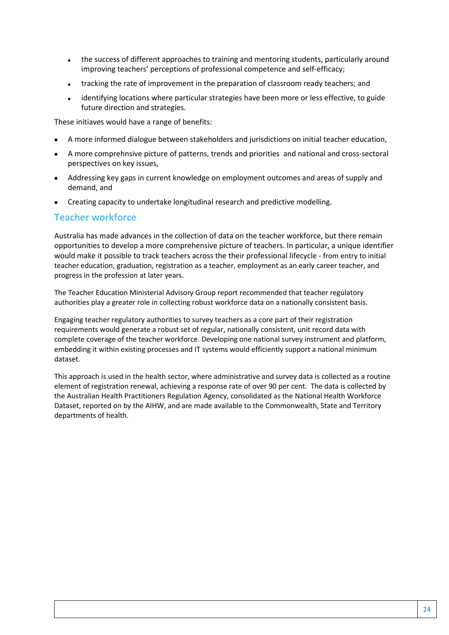- the success of different approaches to training and mentoring students, particularly around improving teachers' perceptions of professional competence and self-efficacy;
- tracking the rate of improvement in the preparation of classroom ready teachers; and
- identifying locations where particular strategies have been more or less effective, to guide future direction and strategies.

These initiaves would have a range of benefits:

- A more informed dialogue between stakeholders and jurisdictions on initial teacher education,
- A more comprehnsive picture of patterns, trends and priorities and national and cross-sectoral perspectives on key issues,
- Addressing key gaps in current knowledge on employment outcomes and areas of supply and demand, and
- **EXECTE 2018 Creating capacity to undertake longitudinal research and predictive modelling.**

#### **Teacher workforce**

Australia has made advances in the collection of data on the teacher workforce, but there remain opportunities to develop a more comprehensive picture of teachers. In particular, a unique identifier would make it possible to track teachers across the their professional lifecycle - from entry to initial teacher education, graduation, registration as a teacher, employment as an early career teacher, and progress in the profession at later years.

The Teacher Education Ministerial Advisory Group report recommended that teacher regulatory authorities play a greater role in collecting robust workforce data on a nationally consistent basis.

Engaging teacher regulatory authorities to survey teachers as a core part of their registration requirements would generate a robust set of regular, nationally consistent, unit record data with complete coverage of the teacher workforce. Developing one national survey instrument and platform, embedding it within existing processes and IT systems would efficiently support a national minimum dataset.

This approach is used in the health sector, where administrative and survey data is collected as a routine element of registration renewal, achieving a response rate of over 90 per cent. The data is collected by the Australian Health Practitioners Regulation Agency, consolidated as the National Health Workforce Dataset, reported on by the AIHW, and are made available to the Commonwealth, State and Territory departments of health.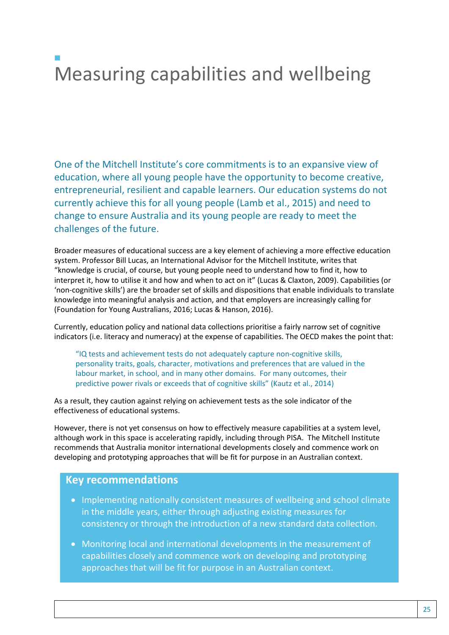# $\mathcal{L}_{\mathcal{A}}$ Measuring capabilities and wellbeing

One of the Mitchell Institute's core commitments is to an expansive view of education, where all young people have the opportunity to become creative, entrepreneurial, resilient and capable learners. Our education systems do not currently achieve this for all young people (Lamb et al., 2015) and need to change to ensure Australia and its young people are ready to meet the challenges of the future.

Broader measures of educational success are a key element of achieving a more effective education system. Professor Bill Lucas, an International Advisor for the Mitchell Institute, writes that "knowledge is crucial, of course, but young people need to understand how to find it, how to interpret it, how to utilise it and how and when to act on it" (Lucas & Claxton, 2009). Capabilities (or 'non-cognitive skills') are the broader set of skills and dispositions that enable individuals to translate knowledge into meaningful analysis and action, and that employers are increasingly calling for (Foundation for Young Australians, 2016; Lucas & Hanson, 2016).

Currently, education policy and national data collections prioritise a fairly narrow set of cognitive indicators (i.e. literacy and numeracy) at the expense of capabilities. The OECD makes the point that:

"IQ tests and achievement tests do not adequately capture non-cognitive skills, personality traits, goals, character, motivations and preferences that are valued in the labour market, in school, and in many other domains. For many outcomes, their predictive power rivals or exceeds that of cognitive skills" (Kautz et al., 2014)

As a result, they caution against relying on achievement tests as the sole indicator of the effectiveness of educational systems.

However, there is not yet consensus on how to effectively measure capabilities at a system level, although work in this space is accelerating rapidly, including through PISA. The Mitchell Institute recommends that Australia monitor international developments closely and commence work on developing and prototyping approaches that will be fit for purpose in an Australian context.

#### **Key recommendations**

- Implementing nationally consistent measures of wellbeing and school climate in the middle years, either through adjusting existing measures for consistency or through the introduction of a new standard data collection.
- Monitoring local and international developments in the measurement of capabilities closely and commence work on developing and prototyping approaches that will be fit for purpose in an Australian context.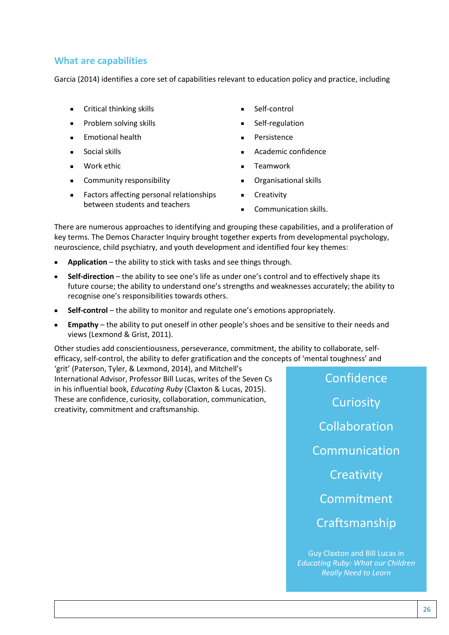### **What are capabilities**

Garcia (2014) identifies a core set of capabilities relevant to education policy and practice, including

- **Critical thinking skills**
- Problem solving skills
- Emotional health
- Social skills
- Work ethic
- **EXECOMMUNITY RESPONSIBILITY**
- Factors affecting personal relationships between students and teachers
- Self-control
- Self-regulation
- Persistence
- Academic confidence
- **E** Teamwork
- Organisational skills
- **Creativity**
- **Communication skills.**

There are numerous approaches to identifying and grouping these capabilities, and a proliferation of key terms. The Demos Character Inquiry brought together experts from developmental psychology, neuroscience, child psychiatry, and youth development and identified four key themes:

- **Application** the ability to stick with tasks and see things through.
- **Self-direction** the ability to see one's life as under one's control and to effectively shape its future course; the ability to understand one's strengths and weaknesses accurately; the ability to recognise one's responsibilities towards others.
- **Self-control** the ability to monitor and regulate one's emotions appropriately.
- **Empathy** the ability to put oneself in other people's shoes and be sensitive to their needs and views (Lexmond & Grist, 2011).

Other studies add conscientiousness, perseverance, commitment, the ability to collaborate, selfefficacy, self-control, the ability to defer gratification and the concepts of 'mental toughness' and 'grit' (Paterson, Tyler, & Lexmond, 2014), and Mitchell's

International Advisor, Professor Bill Lucas, writes of the Seven Cs in his influential book, *Educating Ruby* (Claxton & Lucas, 2015). These are confidence, curiosity, collaboration, communication, creativity, commitment and craftsmanship.

Confidence **Curiosity** Collaboration Communication **Creativity** Commitment Craftsmanship

Guy Claxton and Bill Lucas in *Educating Ruby: What our Children Really Need to Learn*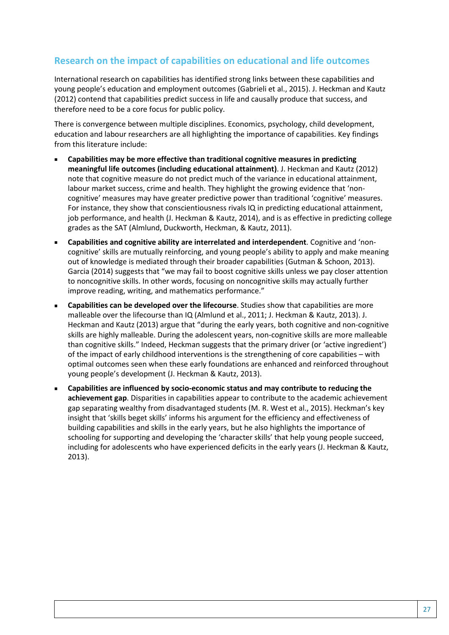### **Research on the impact of capabilities on educational and life outcomes**

International research on capabilities has identified strong links between these capabilities and young people's education and employment outcomes (Gabrieli et al., 2015). J. Heckman and Kautz (2012) contend that capabilities predict success in life and causally produce that success, and therefore need to be a core focus for public policy.

There is convergence between multiple disciplines. Economics, psychology, child development, education and labour researchers are all highlighting the importance of capabilities. Key findings from this literature include:

- **Capabilities may be more effective than traditional cognitive measures in predicting meaningful life outcomes (including educational attainment)**. J. Heckman and Kautz (2012) note that cognitive measure do not predict much of the variance in educational attainment, labour market success, crime and health. They highlight the growing evidence that 'noncognitive' measures may have greater predictive power than traditional 'cognitive' measures. For instance, they show that conscientiousness rivals IQ in predicting educational attainment, job performance, and health (J. Heckman & Kautz, 2014), and is as effective in predicting college grades as the SAT (Almlund, Duckworth, Heckman, & Kautz, 2011).
- **Capabilities and cognitive ability are interrelated and interdependent**. Cognitive and 'noncognitive' skills are mutually reinforcing, and young people's ability to apply and make meaning out of knowledge is mediated through their broader capabilities (Gutman & Schoon, 2013). Garcia (2014) suggests that "we may fail to boost cognitive skills unless we pay closer attention to noncognitive skills. In other words, focusing on noncognitive skills may actually further improve reading, writing, and mathematics performance."
- **Capabilities can be developed over the lifecourse**. Studies show that capabilities are more malleable over the lifecourse than IQ (Almlund et al., 2011; J. Heckman & Kautz, 2013). J. Heckman and Kautz (2013) argue that "during the early years, both cognitive and non-cognitive skills are highly malleable. During the adolescent years, non-cognitive skills are more malleable than cognitive skills." Indeed, Heckman suggests that the primary driver (or 'active ingredient') of the impact of early childhood interventions is the strengthening of core capabilities – with optimal outcomes seen when these early foundations are enhanced and reinforced throughout young people's development (J. Heckman & Kautz, 2013).
- **Capabilities are influenced by socio-economic status and may contribute to reducing the achievement gap**. Disparities in capabilities appear to contribute to the academic achievement gap separating wealthy from disadvantaged students (M. R. West et al., 2015). Heckman's key insight that 'skills beget skills' informs his argument for the efficiency and effectiveness of building capabilities and skills in the early years, but he also highlights the importance of schooling for supporting and developing the 'character skills' that help young people succeed, including for adolescents who have experienced deficits in the early years (J. Heckman & Kautz, 2013).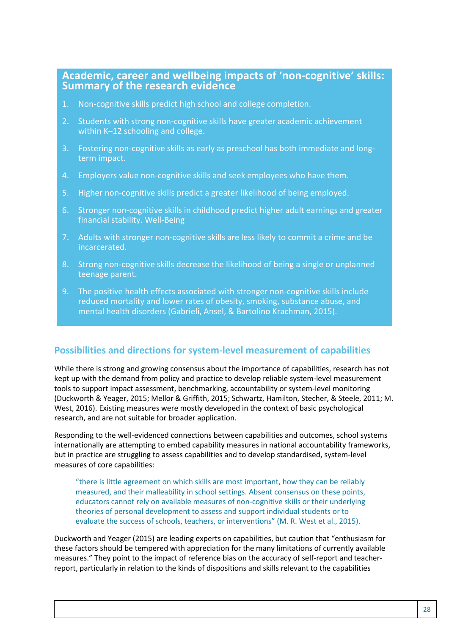# **Academic, career and wellbeing impacts of 'non-cognitive' skills: Summary of the research evidence**

- 1. Non-cognitive skills predict high school and college completion.
- 2. Students with strong non-cognitive skills have greater academic achievement within K–12 schooling and college.
- 3. Fostering non-cognitive skills as early as preschool has both immediate and longterm impact.
- 4. Employers value non-cognitive skills and seek employees who have them.
- 5. Higher non-cognitive skills predict a greater likelihood of being employed.
- 6. Stronger non-cognitive skills in childhood predict higher adult earnings and greater financial stability. Well-Being
- 7. Adults with stronger non-cognitive skills are less likely to commit a crime and be incarcerated.
- 8. Strong non-cognitive skills decrease the likelihood of being a single or unplanned teenage parent.
- 9. The positive health effects associated with stronger non-cognitive skills include reduced mortality and lower rates of obesity, smoking, substance abuse, and mental health disorders (Gabrieli, Ansel, & Bartolino Krachman, 2015).

### **Possibilities and directions for system-level measurement of capabilities**

While there is strong and growing consensus about the importance of capabilities, research has not kept up with the demand from policy and practice to develop reliable system-level measurement tools to support impact assessment, benchmarking, accountability or system-level monitoring (Duckworth & Yeager, 2015; Mellor & Griffith, 2015; Schwartz, Hamilton, Stecher, & Steele, 2011; M. West, 2016). Existing measures were mostly developed in the context of basic psychological research, and are not suitable for broader application.

Responding to the well-evidenced connections between capabilities and outcomes, school systems internationally are attempting to embed capability measures in national accountability frameworks, but in practice are struggling to assess capabilities and to develop standardised, system-level measures of core capabilities:

"there is little agreement on which skills are most important, how they can be reliably measured, and their malleability in school settings. Absent consensus on these points, educators cannot rely on available measures of non-cognitive skills or their underlying theories of personal development to assess and support individual students or to evaluate the success of schools, teachers, or interventions" (M. R. West et al., 2015).

Duckworth and Yeager (2015) are leading experts on capabilities, but caution that "enthusiasm for these factors should be tempered with appreciation for the many limitations of currently available measures." They point to the impact of reference bias on the accuracy of self-report and teacherreport, particularly in relation to the kinds of dispositions and skills relevant to the capabilities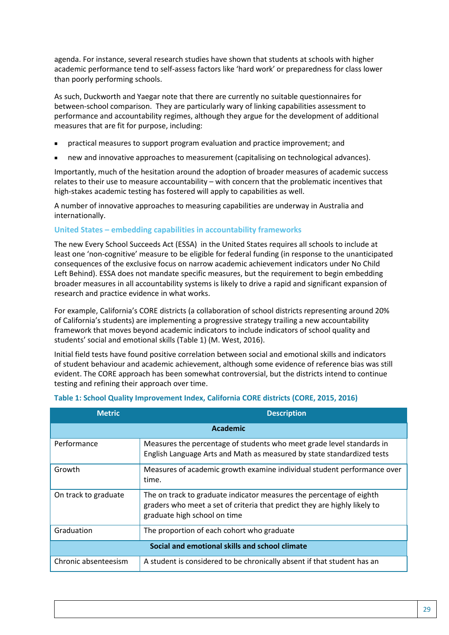agenda. For instance, several research studies have shown that students at schools with higher academic performance tend to self-assess factors like 'hard work' or preparedness for class lower than poorly performing schools.

As such, Duckworth and Yaegar note that there are currently no suitable questionnaires for between-school comparison. They are particularly wary of linking capabilities assessment to performance and accountability regimes, although they argue for the development of additional measures that are fit for purpose, including:

- practical measures to support program evaluation and practice improvement; and
- new and innovative approaches to measurement (capitalising on technological advances).

Importantly, much of the hesitation around the adoption of broader measures of academic success relates to their use to measure accountability – with concern that the problematic incentives that high-stakes academic testing has fostered will apply to capabilities as well.

A number of innovative approaches to measuring capabilities are underway in Australia and internationally.

#### **United States – embedding capabilities in accountability frameworks**

The new Every School Succeeds Act (ESSA) in the United States requires all schools to include at least one 'non-cognitive' measure to be eligible for federal funding (in response to the unanticipated consequences of the exclusive focus on narrow academic achievement indicators under No Child Left Behind). ESSA does not mandate specific measures, but the requirement to begin embedding broader measures in all accountability systems is likely to drive a rapid and significant expansion of research and practice evidence in what works.

For example, California's CORE districts (a collaboration of school districts representing around 20% of California's students) are implementing a progressive strategy trailing a new accountability framework that moves beyond academic indicators to include indicators of school quality and students' social and emotional skills (Table 1) (M. West, 2016).

Initial field tests have found positive correlation between social and emotional skills and indicators of student behaviour and academic achievement, although some evidence of reference bias was still evident. The CORE approach has been somewhat controversial, but the districts intend to continue testing and refining their approach over time.

| <b>Metric</b>                                  | <b>Description</b>                                                                                                                                                                |  |  |  |
|------------------------------------------------|-----------------------------------------------------------------------------------------------------------------------------------------------------------------------------------|--|--|--|
| <b>Academic</b>                                |                                                                                                                                                                                   |  |  |  |
| Performance                                    | Measures the percentage of students who meet grade level standards in<br>English Language Arts and Math as measured by state standardized tests                                   |  |  |  |
| Growth                                         | Measures of academic growth examine individual student performance over<br>time.                                                                                                  |  |  |  |
| On track to graduate                           | The on track to graduate indicator measures the percentage of eighth<br>graders who meet a set of criteria that predict they are highly likely to<br>graduate high school on time |  |  |  |
| Graduation                                     | The proportion of each cohort who graduate                                                                                                                                        |  |  |  |
| Social and emotional skills and school climate |                                                                                                                                                                                   |  |  |  |
| Chronic absenteesism                           | A student is considered to be chronically absent if that student has an                                                                                                           |  |  |  |

#### **Table 1: School Quality Improvement Index, California CORE districts (CORE, 2015, 2016)**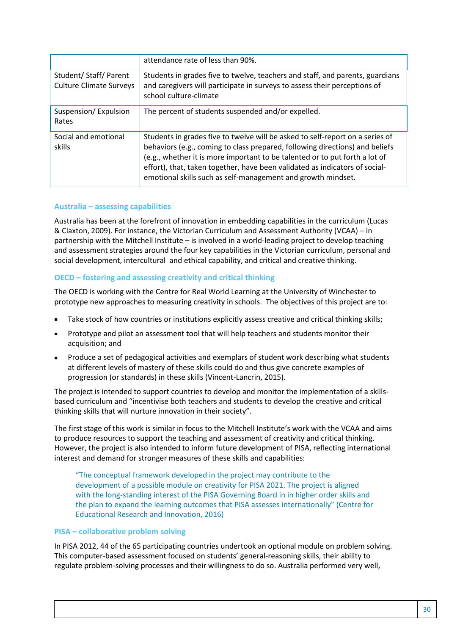|                                                          | attendance rate of less than 90%.                                                                                                                                                                                                                                                                                                                                                           |
|----------------------------------------------------------|---------------------------------------------------------------------------------------------------------------------------------------------------------------------------------------------------------------------------------------------------------------------------------------------------------------------------------------------------------------------------------------------|
| Student/ Staff/ Parent<br><b>Culture Climate Surveys</b> | Students in grades five to twelve, teachers and staff, and parents, guardians<br>and caregivers will participate in surveys to assess their perceptions of<br>school culture-climate                                                                                                                                                                                                        |
| Suspension/Expulsion<br>Rates                            | The percent of students suspended and/or expelled.                                                                                                                                                                                                                                                                                                                                          |
| Social and emotional<br>skills                           | Students in grades five to twelve will be asked to self-report on a series of<br>behaviors (e.g., coming to class prepared, following directions) and beliefs<br>(e.g., whether it is more important to be talented or to put forth a lot of<br>effort), that, taken together, have been validated as indicators of social-<br>emotional skills such as self-management and growth mindset. |

#### **Australia – assessing capabilities**

Australia has been at the forefront of innovation in embedding capabilities in the curriculum (Lucas & Claxton, 2009). For instance, the Victorian Curriculum and Assessment Authority (VCAA) – in partnership with the Mitchell Institute – is involved in a world-leading project to develop teaching and assessment strategies around the four key capabilities in the Victorian curriculum, personal and social development, intercultural and ethical capability, and critical and creative thinking.

#### **OECD – fostering and assessing creativity and critical thinking**

The OECD is working with the Centre for Real World Learning at the University of Winchester to prototype new approaches to measuring creativity in schools. The objectives of this project are to:

- Take stock of how countries or institutions explicitly assess creative and critical thinking skills;
- Prototype and pilot an assessment tool that will help teachers and students monitor their acquisition; and
- Produce a set of pedagogical activities and exemplars of student work describing what students at different levels of mastery of these skills could do and thus give concrete examples of progression (or standards) in these skills (Vincent-Lancrin, 2015).

The project is intended to support countries to develop and monitor the implementation of a skillsbased curriculum and "incentivise both teachers and students to develop the creative and critical thinking skills that will nurture innovation in their society".

The first stage of this work is similar in focus to the Mitchell Institute's work with the VCAA and aims to produce resources to support the teaching and assessment of creativity and critical thinking. However, the project is also intended to inform future development of PISA, reflecting international interest and demand for stronger measures of these skills and capabilities:

"The conceptual framework developed in the project may contribute to the development of a possible module on creativity for PISA 2021. The project is aligned with the long-standing interest of the PISA Governing Board in in higher order skills and the plan to expand the learning outcomes that PISA assesses internationally" (Centre for Educational Research and Innovation, 2016)

#### **PISA – collaborative problem solving**

In PISA 2012, 44 of the 65 participating countries undertook an optional module on problem solving. This computer-based assessment focused on students' general-reasoning skills, their ability to regulate problem-solving processes and their willingness to do so. Australia performed very well,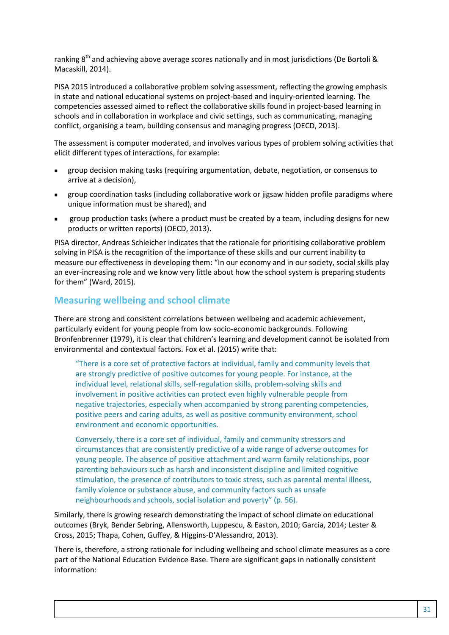ranking  $8<sup>th</sup>$  and achieving above average scores nationally and in most jurisdictions (De Bortoli & Macaskill, 2014).

PISA 2015 introduced a collaborative problem solving assessment, reflecting the growing emphasis in state and national educational systems on project-based and inquiry-oriented learning. The competencies assessed aimed to reflect the collaborative skills found in project-based learning in schools and in collaboration in workplace and civic settings, such as communicating, managing conflict, organising a team, building consensus and managing progress (OECD, 2013).

The assessment is computer moderated, and involves various types of problem solving activities that elicit different types of interactions, for example:

- group decision making tasks (requiring argumentation, debate, negotiation, or consensus to arrive at a decision),
- group coordination tasks (including collaborative work or jigsaw hidden profile paradigms where unique information must be shared), and
- group production tasks (where a product must be created by a team, including designs for new products or written reports) (OECD, 2013).

PISA director, Andreas Schleicher indicates that the rationale for prioritising collaborative problem solving in PISA is the recognition of the importance of these skills and our current inability to measure our effectiveness in developing them: "In our economy and in our society, social skills play an ever-increasing role and we know very little about how the school system is preparing students for them" (Ward, 2015).

### **Measuring wellbeing and school climate**

There are strong and consistent correlations between wellbeing and academic achievement, particularly evident for young people from low socio-economic backgrounds. Following Bronfenbrenner (1979), it is clear that children's learning and development cannot be isolated from environmental and contextual factors. Fox et al. (2015) write that:

"There is a core set of protective factors at individual, family and community levels that are strongly predictive of positive outcomes for young people. For instance, at the individual level, relational skills, self-regulation skills, problem-solving skills and involvement in positive activities can protect even highly vulnerable people from negative trajectories, especially when accompanied by strong parenting competencies, positive peers and caring adults, as well as positive community environment, school environment and economic opportunities.

Conversely, there is a core set of individual, family and community stressors and circumstances that are consistently predictive of a wide range of adverse outcomes for young people. The absence of positive attachment and warm family relationships, poor parenting behaviours such as harsh and inconsistent discipline and limited cognitive stimulation, the presence of contributors to toxic stress, such as parental mental illness, family violence or substance abuse, and community factors such as unsafe neighbourhoods and schools, social isolation and poverty" (p. 56).

Similarly, there is growing research demonstrating the impact of school climate on educational outcomes (Bryk, Bender Sebring, Allensworth, Luppescu, & Easton, 2010; Garcia, 2014; Lester & Cross, 2015; Thapa, Cohen, Guffey, & Higgins-D'Alessandro, 2013).

There is, therefore, a strong rationale for including wellbeing and school climate measures as a core part of the National Education Evidence Base. There are significant gaps in nationally consistent information: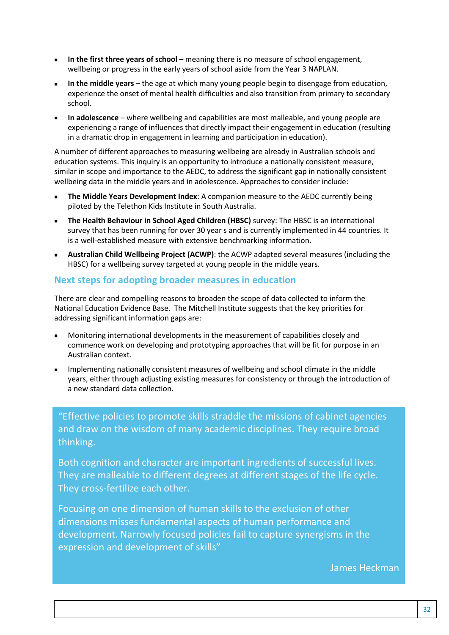- **In the first three years of school** meaning there is no measure of school engagement, wellbeing or progress in the early years of school aside from the Year 3 NAPLAN.
- **In the middle years** the age at which many young people begin to disengage from education, experience the onset of mental health difficulties and also transition from primary to secondary school.
- **In adolescence** where wellbeing and capabilities are most malleable, and young people are experiencing a range of influences that directly impact their engagement in education (resulting in a dramatic drop in engagement in learning and participation in education).

A number of different approaches to measuring wellbeing are already in Australian schools and education systems. This inquiry is an opportunity to introduce a nationally consistent measure, similar in scope and importance to the AEDC, to address the significant gap in nationally consistent wellbeing data in the middle years and in adolescence. Approaches to consider include:

- **The Middle Years Development Index**: A companion measure to the AEDC currently being piloted by the Telethon Kids Institute in South Australia.
- **The Health Behaviour in School Aged Children (HBSC)** survey: The HBSC is an international survey that has been running for over 30 year s and is currently implemented in 44 countries. It is a well-established measure with extensive benchmarking information.
- **Australian Child Wellbeing Project (ACWP)**: the ACWP adapted several measures (including the HBSC) for a wellbeing survey targeted at young people in the middle years.

#### **Next steps for adopting broader measures in education**

There are clear and compelling reasons to broaden the scope of data collected to inform the National Education Evidence Base. The Mitchell Institute suggests that the key priorities for addressing significant information gaps are:

- Monitoring international developments in the measurement of capabilities closely and commence work on developing and prototyping approaches that will be fit for purpose in an Australian context.
- **IMPLEM** Implementing nationally consistent measures of wellbeing and school climate in the middle years, either through adjusting existing measures for consistency or through the introduction of a new standard data collection.

"Effective policies to promote skills straddle the missions of cabinet agencies and draw on the wisdom of many academic disciplines. They require broad thinking.

Both cognition and character are important ingredients of successful lives. They are malleable to different degrees at different stages of the life cycle. They cross-fertilize each other.

Focusing on one dimension of human skills to the exclusion of other dimensions misses fundamental aspects of human performance and development. Narrowly focused policies fail to capture synergisms in the expression and development of skills"

James Heckman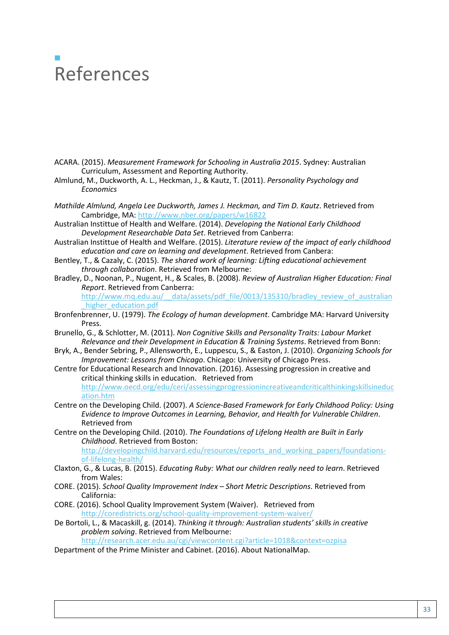# $\mathcal{L}_{\mathcal{A}}$ References

- ACARA. (2015). *Measurement Framework for Schooling in Australia 2015*. Sydney: Australian Curriculum, Assessment and Reporting Authority.
- Almlund, M., Duckworth, A. L., Heckman, J., & Kautz, T. (2011). *Personality Psychology and Economics*
- *Mathilde Almlund, Angela Lee Duckworth, James J. Heckman, and Tim D. Kautz*. Retrieved from Cambridge, MA:<http://www.nber.org/papers/w16822>
- Australian Instittue of Health and Welfare. (2014). *Developing the National Early Childhood Development Researchable Data Set*. Retrieved from Canberra:
- Australian Instittue of Health and Welfare. (2015). *Literature review of the impact of early childhood education and care on learning and development*. Retrieved from Canbera:
- Bentley, T., & Cazaly, C. (2015). *The shared work of learning: Lifting educational achievement through collaboration*. Retrieved from Melbourne:
- Bradley, D., Noonan, P., Nugent, H., & Scales, B. (2008). *Review of Australian Higher Education: Final Report*. Retrieved from Canberra: http://www.mq.edu.au/ data/assets/pdf file/0013/135310/bradley review of australian
- higher\_education.pdf Bronfenbrenner, U. (1979). *The Ecology of human development*. Cambridge MA: Harvard University
- Press. Brunello, G., & Schlotter, M. (2011). *Non Cognitive Skills and Personality Traits: Labour Market Relevance and their Development in Education & Training Systems*. Retrieved from Bonn:
- Bryk, A., Bender Sebring, P., Allensworth, E., Luppescu, S., & Easton, J. (2010). *Organizing Schools for Improvement: Lessons from Chicago*. Chicago: University of Chicago Press.
- Centre for Educational Research and Innovation. (2016). Assessing progression in creative and critical thinking skills in education. Retrieved from [http://www.oecd.org/edu/ceri/assessingprogressionincreativeandcriticalthinkingskillsineduc](http://www.oecd.org/edu/ceri/assessingprogressionincreativeandcriticalthinkingskillsineducation.htm) [ation.htm](http://www.oecd.org/edu/ceri/assessingprogressionincreativeandcriticalthinkingskillsineducation.htm)
- Centre on the Developing Child. (2007). *A Science-Based Framework for Early Childhood Policy: Using Evidence to Improve Outcomes in Learning, Behavior, and Health for Vulnerable Children*. Retrieved from
- Centre on the Developing Child. (2010). *The Foundations of Lifelong Health are Built in Early Childhood*. Retrieved from Boston: [http://developingchild.harvard.edu/resources/reports\\_and\\_working\\_papers/foundations](http://developingchild.harvard.edu/resources/reports_and_working_papers/foundations-of-lifelong-health/)[of-lifelong-health/](http://developingchild.harvard.edu/resources/reports_and_working_papers/foundations-of-lifelong-health/)
- Claxton, G., & Lucas, B. (2015). *Educating Ruby: What our children really need to learn*. Retrieved from Wales:
- CORE. (2015). *School Quality Improvement Index – Short Metric Descriptions*. Retrieved from California:
- CORE. (2016). School Quality Improvement System (Waiver). Retrieved from <http://coredistricts.org/school-quality-improvement-system-waiver/>
- De Bortoli, L., & Macaskill, g. (2014). *Thinking it through: Australian students' skills in creative problem solving*. Retrieved from Melbourne:

<http://research.acer.edu.au/cgi/viewcontent.cgi?article=1018&context=ozpisa>

Department of the Prime Minister and Cabinet. (2016). About NationalMap.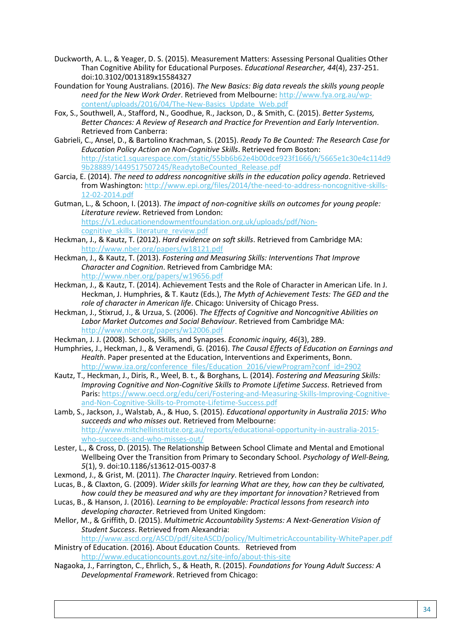- Duckworth, A. L., & Yeager, D. S. (2015). Measurement Matters: Assessing Personal Qualities Other Than Cognitive Ability for Educational Purposes. *Educational Researcher, 44*(4), 237-251. doi:10.3102/0013189x15584327
- Foundation for Young Australians. (2016). *The New Basics: Big data reveals the skills young people need for the New Work Order*. Retrieved from Melbourne: [http://www.fya.org.au/wp](http://www.fya.org.au/wp-content/uploads/2016/04/The-New-Basics_Update_Web.pdf)[content/uploads/2016/04/The-New-Basics\\_Update\\_Web.pdf](http://www.fya.org.au/wp-content/uploads/2016/04/The-New-Basics_Update_Web.pdf)
- Fox, S., Southwell, A., Stafford, N., Goodhue, R., Jackson, D., & Smith, C. (2015). *Better Systems, Better Chances: A Review of Research and Practice for Prevention and Early Intervention*. Retrieved from Canberra:
- Gabrieli, C., Ansel, D., & Bartolino Krachman, S. (2015). *Ready To Be Counted: The Research Case for Education Policy Action on Non-Cognitive Skills*. Retrieved from Boston: [http://static1.squarespace.com/static/55bb6b62e4b00dce923f1666/t/5665e1c30e4c114d9](http://static1.squarespace.com/static/55bb6b62e4b00dce923f1666/t/5665e1c30e4c114d99b28889/1449517507245/ReadytoBeCounted_Release.pdf) [9b28889/1449517507245/ReadytoBeCounted\\_Release.pdf](http://static1.squarespace.com/static/55bb6b62e4b00dce923f1666/t/5665e1c30e4c114d99b28889/1449517507245/ReadytoBeCounted_Release.pdf)
- Garcia, E. (2014). *The need to address noncognitive skills in the education policy agenda*. Retrieved from Washington[: http://www.epi.org/files/2014/the-need-to-address-noncognitive-skills-](http://www.epi.org/files/2014/the-need-to-address-noncognitive-skills-12-02-2014.pdf)[12-02-2014.pdf](http://www.epi.org/files/2014/the-need-to-address-noncognitive-skills-12-02-2014.pdf)
- Gutman, L., & Schoon, I. (2013). *The impact of non-cognitive skills on outcomes for young people: Literature review*. Retrieved from London: [https://v1.educationendowmentfoundation.org.uk/uploads/pdf/Non](https://v1.educationendowmentfoundation.org.uk/uploads/pdf/Non-cognitive_skills_literature_review.pdf)cognitive skills literature review.pdf
- Heckman, J., & Kautz, T. (2012). *Hard evidence on soft skills*. Retrieved from Cambridge MA: <http://www.nber.org/papers/w18121.pdf>
- Heckman, J., & Kautz, T. (2013). *Fostering and Measuring Skills: Interventions That Improve Character and Cognition*. Retrieved from Cambridge MA: <http://www.nber.org/papers/w19656.pdf>
- Heckman, J., & Kautz, T. (2014). Achievement Tests and the Role of Character in American Life. In J. Heckman, J. Humphries, & T. Kautz (Eds.), *The Myth of Achievement Tests: The GED and the role of character in American life*. Chicago: University of Chicago Press.
- Heckman, J., Stixrud, J., & Urzua, S. (2006). *The Effects of Cognitive and Noncognitive Abilities on Labor Market Outcomes and Social Behaviour*. Retrieved from Cambridge MA: <http://www.nber.org/papers/w12006.pdf>
- Heckman, J. J. (2008). Schools, Skills, and Synapses. *Economic inquiry, 46*(3), 289.
- Humphries, J., Heckman, J., & Veramendi, G. (2016). *The Causal Effects of Education on Earnings and Health*. Paper presented at the Education, Interventions and Experiments, Bonn. [http://www.iza.org/conference\\_files/Education\\_2016/viewProgram?conf\\_id=2902](http://www.iza.org/conference_files/Education_2016/viewProgram?conf_id=2902)
- Kautz, T., Heckman, J., Diris, R., Weel, B. t., & Borghans, L. (2014). *Fostering and Measuring Skills: Improving Cognitive and Non-Cognitive Skills to Promote Lifetime Success*. Retrieved from Paris: [https://www.oecd.org/edu/ceri/Fostering-and-Measuring-Skills-Improving-Cognitive](https://www.oecd.org/edu/ceri/Fostering-and-Measuring-Skills-Improving-Cognitive-and-Non-Cognitive-Skills-to-Promote-Lifetime-Success.pdf)[and-Non-Cognitive-Skills-to-Promote-Lifetime-Success.pdf](https://www.oecd.org/edu/ceri/Fostering-and-Measuring-Skills-Improving-Cognitive-and-Non-Cognitive-Skills-to-Promote-Lifetime-Success.pdf)

Lamb, S., Jackson, J., Walstab, A., & Huo, S. (2015). *Educational opportunity in Australia 2015: Who succeeds and who misses out*. Retrieved from Melbourne: [http://www.mitchellinstitute.org.au/reports/educational-opportunity-in-australia-2015](http://www.mitchellinstitute.org.au/reports/educational-opportunity-in-australia-2015-who-succeeds-and-who-misses-out/) [who-succeeds-and-who-misses-out/](http://www.mitchellinstitute.org.au/reports/educational-opportunity-in-australia-2015-who-succeeds-and-who-misses-out/)

- Lester, L., & Cross, D. (2015). The Relationship Between School Climate and Mental and Emotional Wellbeing Over the Transition from Primary to Secondary School. *Psychology of Well-Being, 5*(1), 9. doi:10.1186/s13612-015-0037-8
- Lexmond, J., & Grist, M. (2011). *The Character Inquiry*. Retrieved from London:
- Lucas, B., & Claxton, G. (2009). *Wider skills for learning What are they, how can they be cultivated, how could they be measured and why are they important for innovation?* Retrieved from
- Lucas, B., & Hanson, J. (2016). *Learning to be employable: Practical lessons from research into developing character*. Retrieved from United Kingdom:

Mellor, M., & Griffith, D. (2015). *Multimetric Accountability Systems: A Next-Generation Vision of Student Success*. Retrieved from Alexandria:

<http://www.ascd.org/ASCD/pdf/siteASCD/policy/MultimetricAccountability-WhitePaper.pdf>

- Ministry of Education. (2016). About Education Counts. Retrieved from <http://www.educationcounts.govt.nz/site-info/about-this-site>
- Nagaoka, J., Farrington, C., Ehrlich, S., & Heath, R. (2015). *Foundations for Young Adult Success: A Developmental Framework*. Retrieved from Chicago: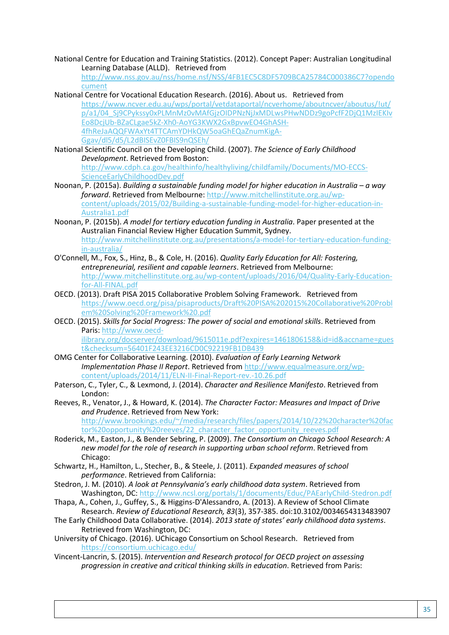National Centre for Education and Training Statistics. (2012). Concept Paper: Australian Longitudinal Learning Database (ALLD). Retrieved from

[http://www.nss.gov.au/nss/home.nsf/NSS/4FB1EC5C8DF5709BCA25784C000386C7?opendo](http://www.nss.gov.au/nss/home.nsf/NSS/4FB1EC5C8DF5709BCA25784C000386C7?opendocument) [cument](http://www.nss.gov.au/nss/home.nsf/NSS/4FB1EC5C8DF5709BCA25784C000386C7?opendocument)

- National Centre for Vocational Education Research. (2016). About us. Retrieved from [https://www.ncver.edu.au/wps/portal/vetdataportal/ncverhome/aboutncver/aboutus/!ut/](https://www.ncver.edu.au/wps/portal/vetdataportal/ncverhome/aboutncver/aboutus/!ut/p/a1/04_Sj9CPykssy0xPLMnMz0vMAfGjzOIDPNzNjJxMDLwsPHwNDDz9goPcfF2DjQ1MzIEKIvEo8DcjUb-BZaCLgae5kZ-Xh0-AoYG3KWX2GxBpvwEO4GhASH-4fhReJaAQQFWAxYt4TTCAmYDHkQW5oaGhEQaZnumKigA-Ggav/dl5/d5/L2dBISEvZ0FBIS9nQSEh/) [p/a1/04\\_Sj9CPykssy0xPLMnMz0vMAfGjzOIDPNzNjJxMDLwsPHwNDDz9goPcfF2DjQ1MzIEKIv](https://www.ncver.edu.au/wps/portal/vetdataportal/ncverhome/aboutncver/aboutus/!ut/p/a1/04_Sj9CPykssy0xPLMnMz0vMAfGjzOIDPNzNjJxMDLwsPHwNDDz9goPcfF2DjQ1MzIEKIvEo8DcjUb-BZaCLgae5kZ-Xh0-AoYG3KWX2GxBpvwEO4GhASH-4fhReJaAQQFWAxYt4TTCAmYDHkQW5oaGhEQaZnumKigA-Ggav/dl5/d5/L2dBISEvZ0FBIS9nQSEh/) [Eo8DcjUb-BZaCLgae5kZ-Xh0-AoYG3KWX2GxBpvwEO4GhASH-](https://www.ncver.edu.au/wps/portal/vetdataportal/ncverhome/aboutncver/aboutus/!ut/p/a1/04_Sj9CPykssy0xPLMnMz0vMAfGjzOIDPNzNjJxMDLwsPHwNDDz9goPcfF2DjQ1MzIEKIvEo8DcjUb-BZaCLgae5kZ-Xh0-AoYG3KWX2GxBpvwEO4GhASH-4fhReJaAQQFWAxYt4TTCAmYDHkQW5oaGhEQaZnumKigA-Ggav/dl5/d5/L2dBISEvZ0FBIS9nQSEh/)[4fhReJaAQQFWAxYt4TTCAmYDHkQW5oaGhEQaZnumKigA-](https://www.ncver.edu.au/wps/portal/vetdataportal/ncverhome/aboutncver/aboutus/!ut/p/a1/04_Sj9CPykssy0xPLMnMz0vMAfGjzOIDPNzNjJxMDLwsPHwNDDz9goPcfF2DjQ1MzIEKIvEo8DcjUb-BZaCLgae5kZ-Xh0-AoYG3KWX2GxBpvwEO4GhASH-4fhReJaAQQFWAxYt4TTCAmYDHkQW5oaGhEQaZnumKigA-Ggav/dl5/d5/L2dBISEvZ0FBIS9nQSEh/)[Ggav/dl5/d5/L2dBISEvZ0FBIS9nQSEh/](https://www.ncver.edu.au/wps/portal/vetdataportal/ncverhome/aboutncver/aboutus/!ut/p/a1/04_Sj9CPykssy0xPLMnMz0vMAfGjzOIDPNzNjJxMDLwsPHwNDDz9goPcfF2DjQ1MzIEKIvEo8DcjUb-BZaCLgae5kZ-Xh0-AoYG3KWX2GxBpvwEO4GhASH-4fhReJaAQQFWAxYt4TTCAmYDHkQW5oaGhEQaZnumKigA-Ggav/dl5/d5/L2dBISEvZ0FBIS9nQSEh/)
- National Scientific Council on the Developing Child. (2007). *The Science of Early Childhood Development*. Retrieved from Boston: [http://www.cdph.ca.gov/healthinfo/healthyliving/childfamily/Documents/MO-ECCS-](http://www.cdph.ca.gov/healthinfo/healthyliving/childfamily/Documents/MO-ECCS-ScienceEarlyChildhoodDev.pdf)[ScienceEarlyChildhoodDev.pdf](http://www.cdph.ca.gov/healthinfo/healthyliving/childfamily/Documents/MO-ECCS-ScienceEarlyChildhoodDev.pdf)
- Noonan, P. (2015a). *Building a sustainable funding model for higher education in Australia – a way forward*. Retrieved from Melbourne: [http://www.mitchellinstitute.org.au/wp](http://www.mitchellinstitute.org.au/wp-content/uploads/2015/02/Building-a-sustainable-funding-model-for-higher-education-in-Australia1.pdf)[content/uploads/2015/02/Building-a-sustainable-funding-model-for-higher-education-in-](http://www.mitchellinstitute.org.au/wp-content/uploads/2015/02/Building-a-sustainable-funding-model-for-higher-education-in-Australia1.pdf)[Australia1.pdf](http://www.mitchellinstitute.org.au/wp-content/uploads/2015/02/Building-a-sustainable-funding-model-for-higher-education-in-Australia1.pdf)
- Noonan, P. (2015b). *A model for tertiary education funding in Australia*. Paper presented at the Australian Financial Review Higher Education Summit, Sydney. [http://www.mitchellinstitute.org.au/presentations/a-model-for-tertiary-education-funding](http://www.mitchellinstitute.org.au/presentations/a-model-for-tertiary-education-funding-in-australia/)[in-australia/](http://www.mitchellinstitute.org.au/presentations/a-model-for-tertiary-education-funding-in-australia/)
- O'Connell, M., Fox, S., Hinz, B., & Cole, H. (2016). *Quality Early Education for All: Fostering, entrepreneurial, resilient and capable learners*. Retrieved from Melbourne: [http://www.mitchellinstitute.org.au/wp-content/uploads/2016/04/Quality-Early-Education](http://www.mitchellinstitute.org.au/wp-content/uploads/2016/04/Quality-Early-Education-for-All-FINAL.pdf)[for-All-FINAL.pdf](http://www.mitchellinstitute.org.au/wp-content/uploads/2016/04/Quality-Early-Education-for-All-FINAL.pdf)
- OECD. (2013). Draft PISA 2015 Collaborative Problem Solving Framework. Retrieved from [https://www.oecd.org/pisa/pisaproducts/Draft%20PISA%202015%20Collaborative%20Probl](https://www.oecd.org/pisa/pisaproducts/Draft%20PISA%202015%20Collaborative%20Problem%20Solving%20Framework%20.pdf) [em%20Solving%20Framework%20.pdf](https://www.oecd.org/pisa/pisaproducts/Draft%20PISA%202015%20Collaborative%20Problem%20Solving%20Framework%20.pdf)
- OECD. (2015). *Skills for Social Progress: The power of social and emotional skills*. Retrieved from Paris: [http://www.oecd](http://www.oecd-ilibrary.org/docserver/download/9615011e.pdf?expires=1461806158&id=id&accname=guest&checksum=56401F243EE3216CD0C92219FB1DB439)[ilibrary.org/docserver/download/9615011e.pdf?expires=1461806158&id=id&accname=gues](http://www.oecd-ilibrary.org/docserver/download/9615011e.pdf?expires=1461806158&id=id&accname=guest&checksum=56401F243EE3216CD0C92219FB1DB439)
- [t&checksum=56401F243EE3216CD0C92219FB1DB439](http://www.oecd-ilibrary.org/docserver/download/9615011e.pdf?expires=1461806158&id=id&accname=guest&checksum=56401F243EE3216CD0C92219FB1DB439) OMG Center for Collaborative Learning. (2010). *Evaluation of Early Learning Network*
- *Implementation Phase II Report*. Retrieved from [http://www.equalmeasure.org/wp](http://www.equalmeasure.org/wp-content/uploads/2014/11/ELN-II-Final-Report-rev.-10.26.pdf)[content/uploads/2014/11/ELN-II-Final-Report-rev.-10.26.pdf](http://www.equalmeasure.org/wp-content/uploads/2014/11/ELN-II-Final-Report-rev.-10.26.pdf)
- Paterson, C., Tyler, C., & Lexmond, J. (2014). *Character and Resilience Manifesto*. Retrieved from London:
- Reeves, R., Venator, J., & Howard, K. (2014). *The Character Factor: Measures and Impact of Drive and Prudence*. Retrieved from New York: [http://www.brookings.edu/~/media/research/files/papers/2014/10/22%20character%20fac](http://www.brookings.edu/%7E/media/research/files/papers/2014/10/22%20character%20factor%20opportunity%20reeves/22_character_factor_opportunity_reeves.pdf) [tor%20opportunity%20reeves/22\\_character\\_factor\\_opportunity\\_reeves.pdf](http://www.brookings.edu/%7E/media/research/files/papers/2014/10/22%20character%20factor%20opportunity%20reeves/22_character_factor_opportunity_reeves.pdf)
- Roderick, M., Easton, J., & Bender Sebring, P. (2009). *The Consortium on Chicago School Research: A new model for the role of research in supporting urban school reform*. Retrieved from Chicago:
- Schwartz, H., Hamilton, L., Stecher, B., & Steele, J. (2011). *Expanded measures of school performance*. Retrieved from California:
- Stedron, J. M. (2010). *A look at Pennsylvania's early childhood data system*. Retrieved from Washington, DC:<http://www.ncsl.org/portals/1/documents/Educ/PAEarlyChild-Stedron.pdf>
- Thapa, A., Cohen, J., Guffey, S., & Higgins-D'Alessandro, A. (2013). A Review of School Climate Research. *Review of Educational Research, 83*(3), 357-385. doi:10.3102/0034654313483907
- The Early Childhood Data Collaborative. (2014). *2013 state of states' early childhood data systems*. Retrieved from Washington, DC:
- University of Chicago. (2016). UChicago Consortium on School Research. Retrieved from <https://consortium.uchicago.edu/>
- Vincent-Lancrin, S. (2015). *Intervention and Research protocol for OECD project on assessing progression in creative and critical thinking skills in education*. Retrieved from Paris: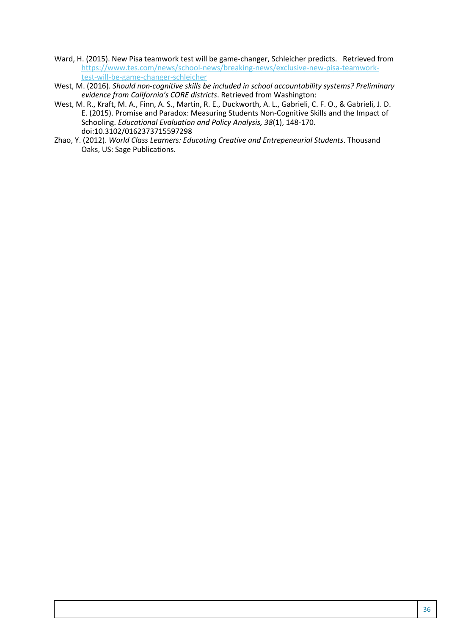- Ward, H. (2015). New Pisa teamwork test will be game-changer, Schleicher predicts. Retrieved from [https://www.tes.com/news/school-news/breaking-news/exclusive-new-pisa-teamwork](https://www.tes.com/news/school-news/breaking-news/exclusive-new-pisa-teamwork-test-will-be-game-changer-schleicher)[test-will-be-game-changer-schleicher](https://www.tes.com/news/school-news/breaking-news/exclusive-new-pisa-teamwork-test-will-be-game-changer-schleicher)
- West, M. (2016). *Should non-cognitive skills be included in school accountability systems? Preliminary evidence from California's CORE districts*. Retrieved from Washington:
- West, M. R., Kraft, M. A., Finn, A. S., Martin, R. E., Duckworth, A. L., Gabrieli, C. F. O., & Gabrieli, J. D. E. (2015). Promise and Paradox: Measuring Students Non-Cognitive Skills and the Impact of Schooling. *Educational Evaluation and Policy Analysis, 38*(1), 148-170. doi:10.3102/0162373715597298
- Zhao, Y. (2012). *World Class Learners: Educating Creative and Entrepeneurial Students*. Thousand Oaks, US: Sage Publications.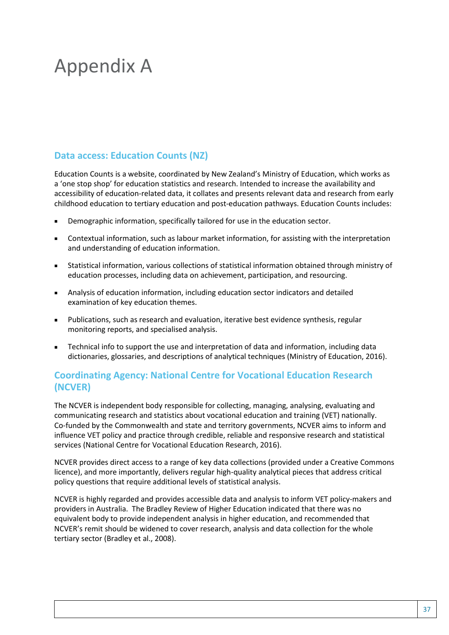# Appendix A

### **Data access: Education Counts (NZ)**

Education Counts is a website, coordinated by New Zealand's Ministry of Education, which works as a 'one stop shop' for education statistics and research. Intended to increase the availability and accessibility of education-related data, it collates and presents relevant data and research from early childhood education to tertiary education and post-education pathways. Education Counts includes:

- Demographic information, specifically tailored for use in the education sector.
- Contextual information, such as labour market information, for assisting with the interpretation and understanding of education information.
- Statistical information, various collections of statistical information obtained through ministry of education processes, including data on achievement, participation, and resourcing.
- Analysis of education information, including education sector indicators and detailed examination of key education themes.
- Publications, such as research and evaluation, iterative best evidence synthesis, regular monitoring reports, and specialised analysis.
- Technical info to support the use and interpretation of data and information, including data dictionaries, glossaries, and descriptions of analytical techniques (Ministry of Education, 2016).

### **Coordinating Agency: National Centre for Vocational Education Research (NCVER)**

The NCVER is independent body responsible for collecting, managing, analysing, evaluating and communicating research and statistics about vocational education and training (VET) nationally. Co-funded by the Commonwealth and state and territory governments, NCVER aims to inform and influence VET policy and practice through credible, reliable and responsive research and statistical services (National Centre for Vocational Education Research, 2016).

NCVER provides direct access to a range of key data collections (provided under a Creative Commons licence), and more importantly, delivers regular high-quality analytical pieces that address critical policy questions that require additional levels of statistical analysis.

NCVER is highly regarded and provides accessible data and analysis to inform VET policy-makers and providers in Australia. The Bradley Review of Higher Education indicated that there was no equivalent body to provide independent analysis in higher education, and recommended that NCVER's remit should be widened to cover research, analysis and data collection for the whole tertiary sector (Bradley et al., 2008).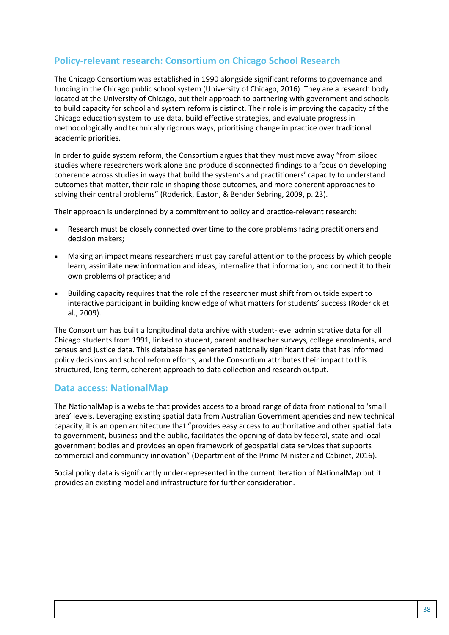### **Policy-relevant research: Consortium on Chicago School Research**

The Chicago Consortium was established in 1990 alongside significant reforms to governance and funding in the Chicago public school system (University of Chicago, 2016). They are a research body located at the University of Chicago, but their approach to partnering with government and schools to build capacity for school and system reform is distinct. Their role is improving the capacity of the Chicago education system to use data, build effective strategies, and evaluate progress in methodologically and technically rigorous ways, prioritising change in practice over traditional academic priorities.

In order to guide system reform, the Consortium argues that they must move away "from siloed studies where researchers work alone and produce disconnected findings to a focus on developing coherence across studies in ways that build the system's and practitioners' capacity to understand outcomes that matter, their role in shaping those outcomes, and more coherent approaches to solving their central problems" (Roderick, Easton, & Bender Sebring, 2009, p. 23).

Their approach is underpinned by a commitment to policy and practice-relevant research:

- **Research must be closely connected over time to the core problems facing practitioners and** decision makers;
- Making an impact means researchers must pay careful attention to the process by which people learn, assimilate new information and ideas, internalize that information, and connect it to their own problems of practice; and
- Building capacity requires that the role of the researcher must shift from outside expert to interactive participant in building knowledge of what matters for students' success (Roderick et al., 2009).

The Consortium has built a longitudinal data archive with student-level administrative data for all Chicago students from 1991, linked to student, parent and teacher surveys, college enrolments, and census and justice data. This database has generated nationally significant data that has informed policy decisions and school reform efforts, and the Consortium attributes their impact to this structured, long-term, coherent approach to data collection and research output.

#### **Data access: NationalMap**

The NationalMap is a website that provides access to a broad range of data from national to 'small area' levels. Leveraging existing spatial data from Australian Government agencies and new technical capacity, it is an open architecture that "provides easy access to authoritative and other spatial data to government, business and the public, facilitates the opening of data by federal, state and local government bodies and provides an open framework of geospatial data services that supports commercial and community innovation" (Department of the Prime Minister and Cabinet, 2016).

Social policy data is significantly under-represented in the current iteration of NationalMap but it provides an existing model and infrastructure for further consideration.